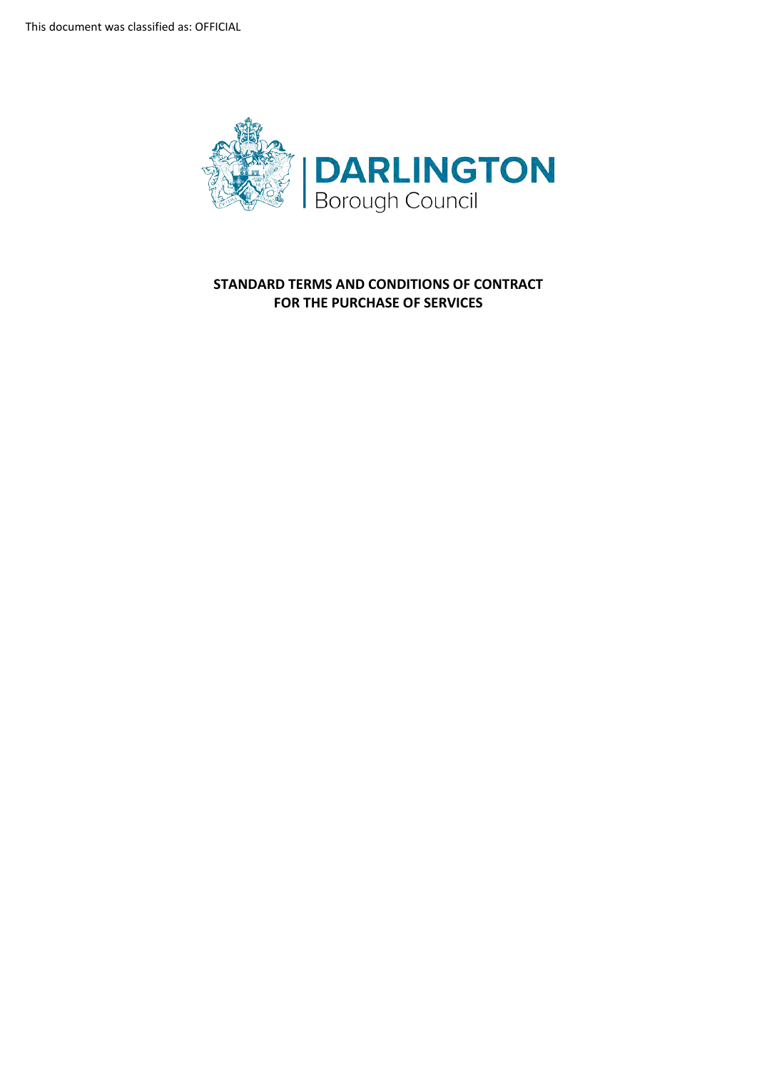This document was classified as: OFFICIAL



**STANDARD TERMS AND CONDITIONS OF CONTRACT FOR THE PURCHASE OF SERVICES**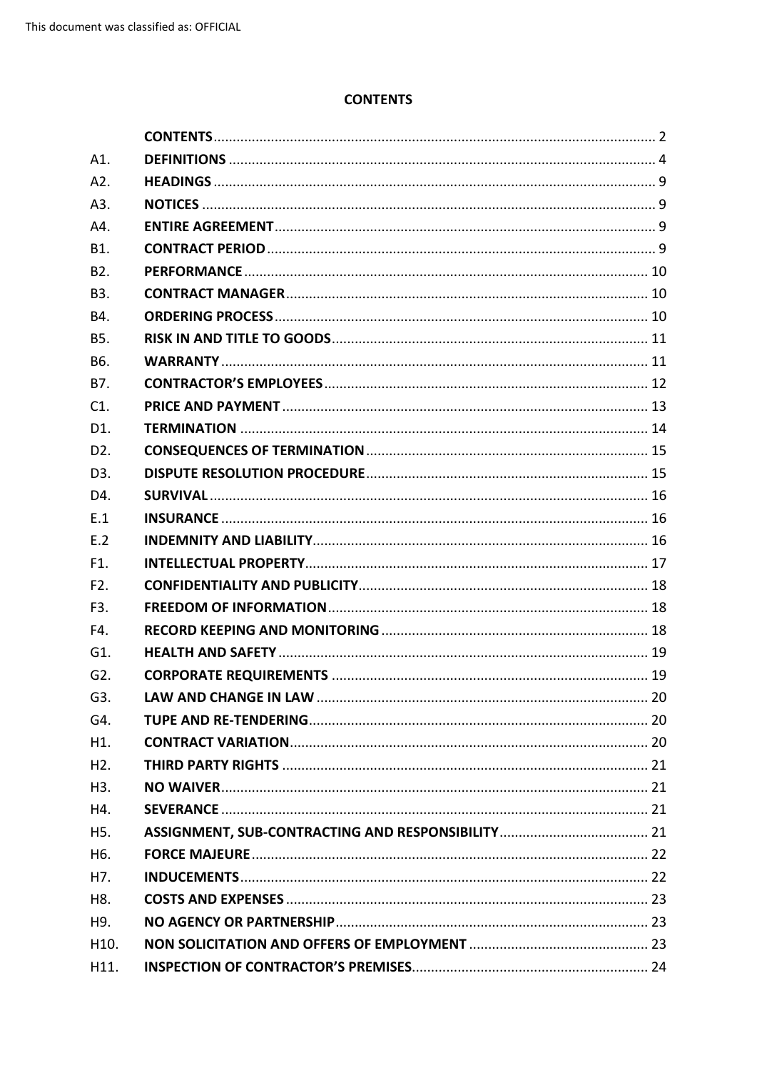## **CONTENTS**

<span id="page-1-0"></span>

| A1.               |  |
|-------------------|--|
| A2.               |  |
| A3.               |  |
| A4.               |  |
| B1.               |  |
| B <sub>2</sub> .  |  |
| <b>B3.</b>        |  |
| B4.               |  |
| B5.               |  |
| B6.               |  |
| B7.               |  |
| C1.               |  |
| D1.               |  |
| D <sub>2</sub> .  |  |
| D <sub>3</sub> .  |  |
| D4.               |  |
| E.1               |  |
| E.2               |  |
| F1.               |  |
| F <sub>2</sub> .  |  |
| F3.               |  |
| F4.               |  |
| G1.               |  |
| G <sub>2</sub> .  |  |
| G3.               |  |
| G4.               |  |
| H1.               |  |
| H2.               |  |
| H <sub>3</sub> .  |  |
| H4.               |  |
| H <sub>5</sub> .  |  |
| H <sub>6</sub> .  |  |
| H7.               |  |
| H8.               |  |
| H9.               |  |
| H <sub>10</sub> . |  |
| H11.              |  |
|                   |  |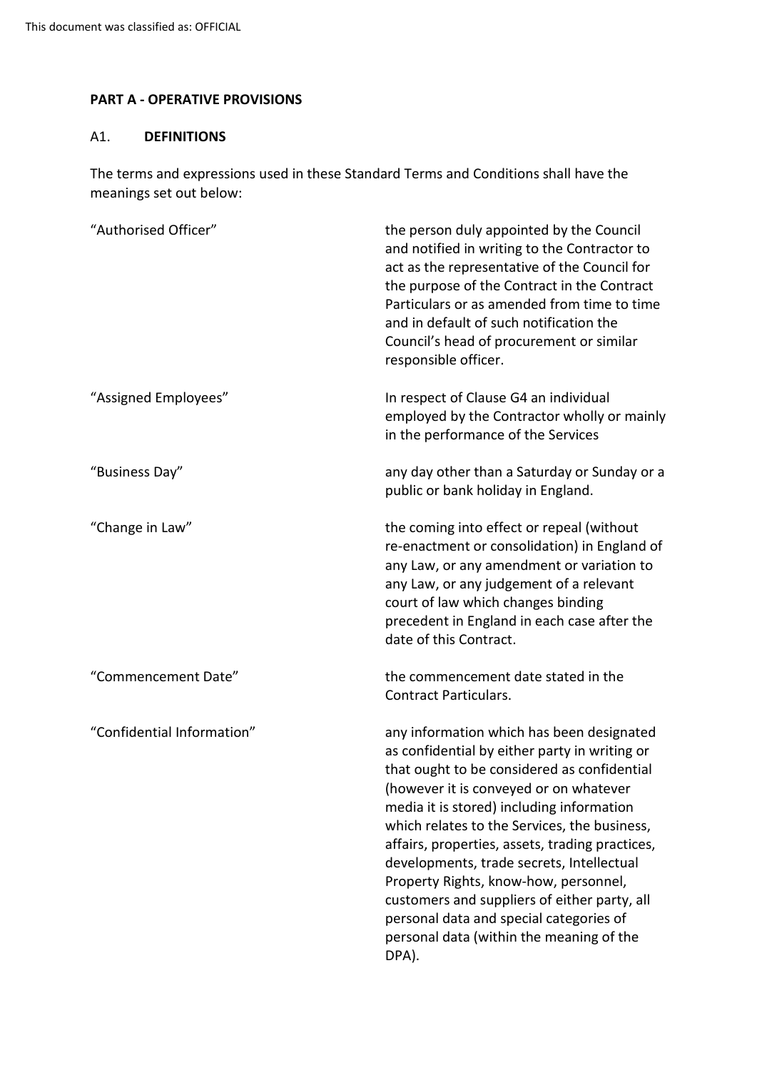## **PART A - OPERATIVE PROVISIONS**

## <span id="page-3-0"></span>A1. **DEFINITIONS**

The terms and expressions used in these Standard Terms and Conditions shall have the meanings set out below:

| "Authorised Officer"       | the person duly appointed by the Council<br>and notified in writing to the Contractor to<br>act as the representative of the Council for<br>the purpose of the Contract in the Contract<br>Particulars or as amended from time to time<br>and in default of such notification the<br>Council's head of procurement or similar<br>responsible officer.                                                                                                                                                                                                                     |
|----------------------------|---------------------------------------------------------------------------------------------------------------------------------------------------------------------------------------------------------------------------------------------------------------------------------------------------------------------------------------------------------------------------------------------------------------------------------------------------------------------------------------------------------------------------------------------------------------------------|
| "Assigned Employees"       | In respect of Clause G4 an individual<br>employed by the Contractor wholly or mainly<br>in the performance of the Services                                                                                                                                                                                                                                                                                                                                                                                                                                                |
| "Business Day"             | any day other than a Saturday or Sunday or a<br>public or bank holiday in England.                                                                                                                                                                                                                                                                                                                                                                                                                                                                                        |
| "Change in Law"            | the coming into effect or repeal (without<br>re-enactment or consolidation) in England of<br>any Law, or any amendment or variation to<br>any Law, or any judgement of a relevant<br>court of law which changes binding<br>precedent in England in each case after the<br>date of this Contract.                                                                                                                                                                                                                                                                          |
| "Commencement Date"        | the commencement date stated in the<br><b>Contract Particulars.</b>                                                                                                                                                                                                                                                                                                                                                                                                                                                                                                       |
| "Confidential Information" | any information which has been designated<br>as confidential by either party in writing or<br>that ought to be considered as confidential<br>(however it is conveyed or on whatever<br>media it is stored) including information<br>which relates to the Services, the business,<br>affairs, properties, assets, trading practices,<br>developments, trade secrets, Intellectual<br>Property Rights, know-how, personnel,<br>customers and suppliers of either party, all<br>personal data and special categories of<br>personal data (within the meaning of the<br>DPA). |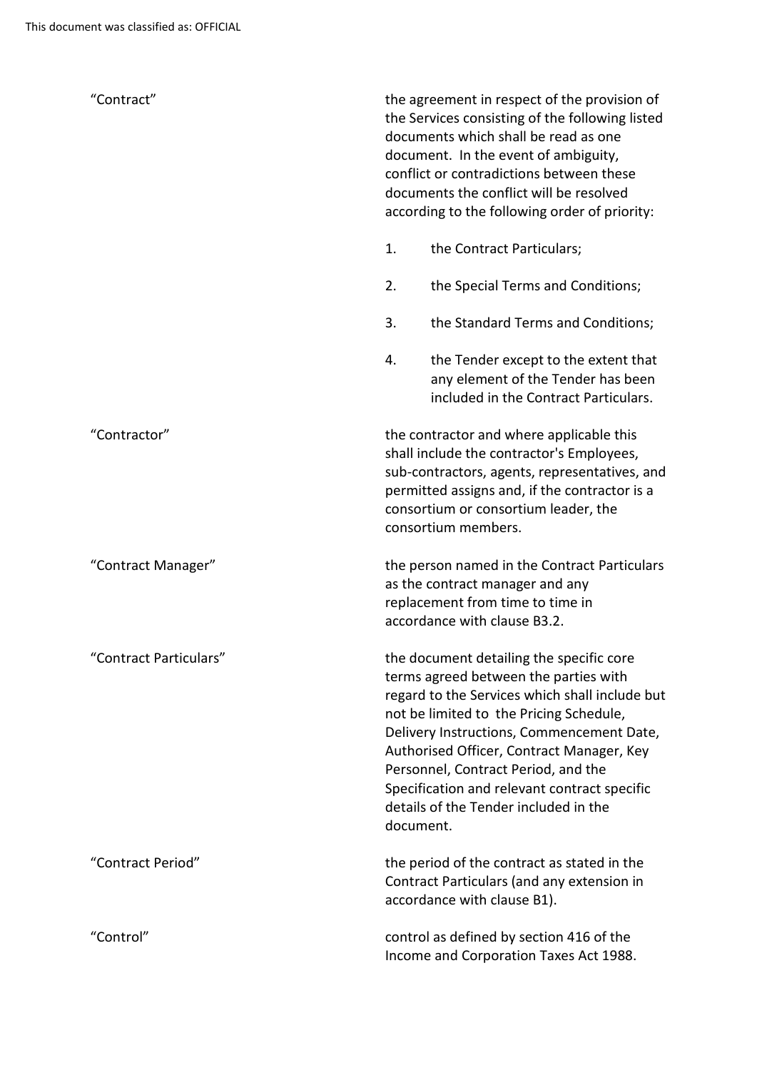| "Contract"             | the agreement in respect of the provision of<br>the Services consisting of the following listed<br>documents which shall be read as one<br>document. In the event of ambiguity,<br>conflict or contradictions between these<br>documents the conflict will be resolved<br>according to the following order of priority:                                                                                               |
|------------------------|-----------------------------------------------------------------------------------------------------------------------------------------------------------------------------------------------------------------------------------------------------------------------------------------------------------------------------------------------------------------------------------------------------------------------|
|                        | 1.<br>the Contract Particulars;                                                                                                                                                                                                                                                                                                                                                                                       |
|                        | 2.<br>the Special Terms and Conditions;                                                                                                                                                                                                                                                                                                                                                                               |
|                        | 3.<br>the Standard Terms and Conditions;                                                                                                                                                                                                                                                                                                                                                                              |
|                        | 4.<br>the Tender except to the extent that<br>any element of the Tender has been<br>included in the Contract Particulars.                                                                                                                                                                                                                                                                                             |
| "Contractor"           | the contractor and where applicable this<br>shall include the contractor's Employees,<br>sub-contractors, agents, representatives, and<br>permitted assigns and, if the contractor is a<br>consortium or consortium leader, the<br>consortium members.                                                                                                                                                                |
| "Contract Manager"     | the person named in the Contract Particulars<br>as the contract manager and any<br>replacement from time to time in<br>accordance with clause B3.2.                                                                                                                                                                                                                                                                   |
| 'Contract Particulars" | the document detailing the specific core<br>terms agreed between the parties with<br>regard to the Services which shall include but<br>not be limited to the Pricing Schedule,<br>Delivery Instructions, Commencement Date,<br>Authorised Officer, Contract Manager, Key<br>Personnel, Contract Period, and the<br>Specification and relevant contract specific<br>details of the Tender included in the<br>document. |
| "Contract Period"      | the period of the contract as stated in the<br>Contract Particulars (and any extension in<br>accordance with clause B1).                                                                                                                                                                                                                                                                                              |
| "Control"              | control as defined by section 416 of the<br>Income and Corporation Taxes Act 1988.                                                                                                                                                                                                                                                                                                                                    |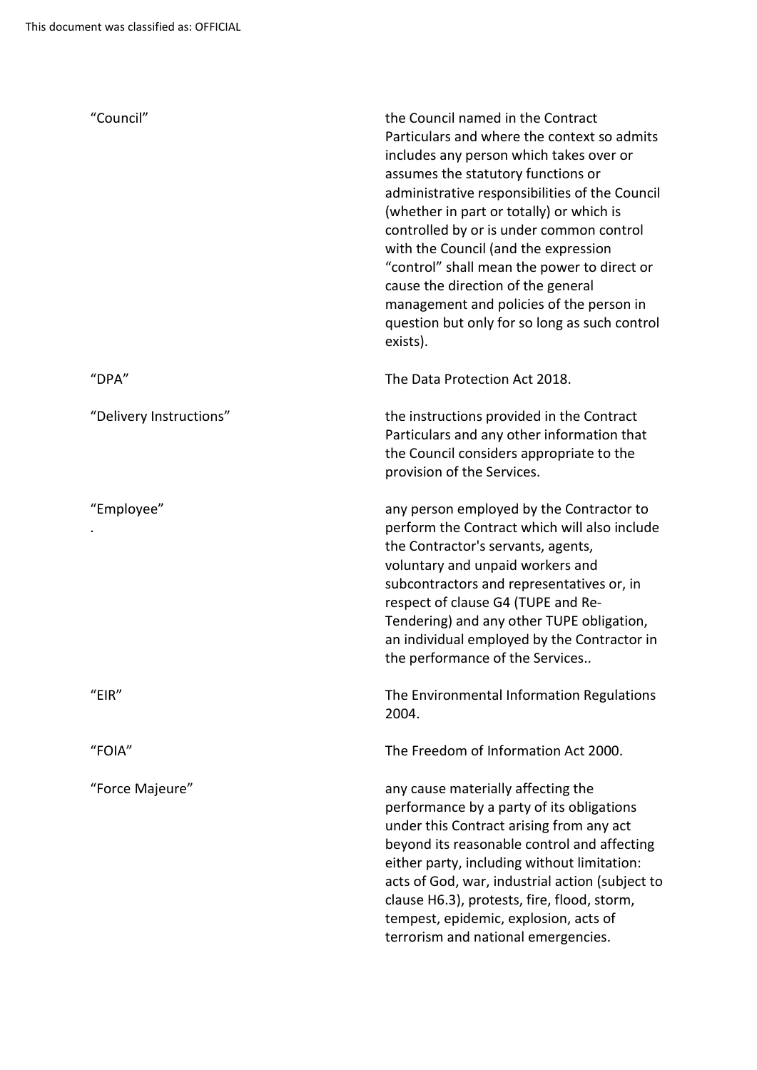| "Council"               | the Council named in the Contract<br>Particulars and where the context so admits<br>includes any person which takes over or<br>assumes the statutory functions or<br>administrative responsibilities of the Council<br>(whether in part or totally) or which is<br>controlled by or is under common control<br>with the Council (and the expression<br>"control" shall mean the power to direct or<br>cause the direction of the general<br>management and policies of the person in<br>question but only for so long as such control<br>exists). |
|-------------------------|---------------------------------------------------------------------------------------------------------------------------------------------------------------------------------------------------------------------------------------------------------------------------------------------------------------------------------------------------------------------------------------------------------------------------------------------------------------------------------------------------------------------------------------------------|
| "DPA"                   | The Data Protection Act 2018.                                                                                                                                                                                                                                                                                                                                                                                                                                                                                                                     |
| "Delivery Instructions" | the instructions provided in the Contract<br>Particulars and any other information that<br>the Council considers appropriate to the<br>provision of the Services.                                                                                                                                                                                                                                                                                                                                                                                 |
| "Employee"              | any person employed by the Contractor to<br>perform the Contract which will also include<br>the Contractor's servants, agents,<br>voluntary and unpaid workers and<br>subcontractors and representatives or, in<br>respect of clause G4 (TUPE and Re-<br>Tendering) and any other TUPE obligation,<br>an individual employed by the Contractor in<br>the performance of the Services                                                                                                                                                              |
| "EIR"                   | The Environmental Information Regulations<br>2004.                                                                                                                                                                                                                                                                                                                                                                                                                                                                                                |
| "FOIA"                  | The Freedom of Information Act 2000.                                                                                                                                                                                                                                                                                                                                                                                                                                                                                                              |
| "Force Majeure"         | any cause materially affecting the<br>performance by a party of its obligations<br>under this Contract arising from any act<br>beyond its reasonable control and affecting<br>either party, including without limitation:<br>acts of God, war, industrial action (subject to<br>clause H6.3), protests, fire, flood, storm,<br>tempest, epidemic, explosion, acts of<br>terrorism and national emergencies.                                                                                                                                       |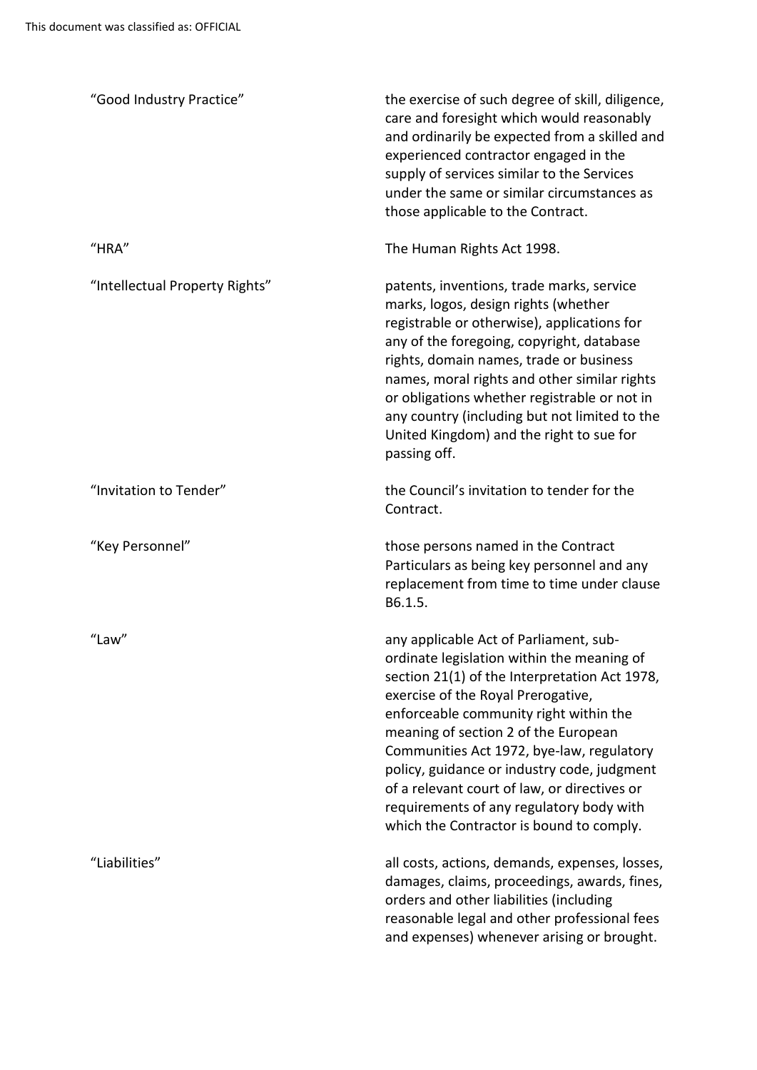| "Good Industry Practice"       | the exercise of such degree of skill, diligence,<br>care and foresight which would reasonably<br>and ordinarily be expected from a skilled and<br>experienced contractor engaged in the<br>supply of services similar to the Services<br>under the same or similar circumstances as<br>those applicable to the Contract.                                                                                                                                                                          |
|--------------------------------|---------------------------------------------------------------------------------------------------------------------------------------------------------------------------------------------------------------------------------------------------------------------------------------------------------------------------------------------------------------------------------------------------------------------------------------------------------------------------------------------------|
| "HRA"                          | The Human Rights Act 1998.                                                                                                                                                                                                                                                                                                                                                                                                                                                                        |
| "Intellectual Property Rights" | patents, inventions, trade marks, service<br>marks, logos, design rights (whether<br>registrable or otherwise), applications for<br>any of the foregoing, copyright, database<br>rights, domain names, trade or business<br>names, moral rights and other similar rights<br>or obligations whether registrable or not in<br>any country (including but not limited to the<br>United Kingdom) and the right to sue for<br>passing off.                                                             |
| "Invitation to Tender"         | the Council's invitation to tender for the<br>Contract.                                                                                                                                                                                                                                                                                                                                                                                                                                           |
| "Key Personnel"                | those persons named in the Contract<br>Particulars as being key personnel and any<br>replacement from time to time under clause<br>B6.1.5.                                                                                                                                                                                                                                                                                                                                                        |
| "Law"                          | any applicable Act of Parliament, sub-<br>ordinate legislation within the meaning of<br>section 21(1) of the Interpretation Act 1978,<br>exercise of the Royal Prerogative,<br>enforceable community right within the<br>meaning of section 2 of the European<br>Communities Act 1972, bye-law, regulatory<br>policy, guidance or industry code, judgment<br>of a relevant court of law, or directives or<br>requirements of any regulatory body with<br>which the Contractor is bound to comply. |
| "Liabilities"                  | all costs, actions, demands, expenses, losses,<br>damages, claims, proceedings, awards, fines,<br>orders and other liabilities (including<br>reasonable legal and other professional fees<br>and expenses) whenever arising or brought.                                                                                                                                                                                                                                                           |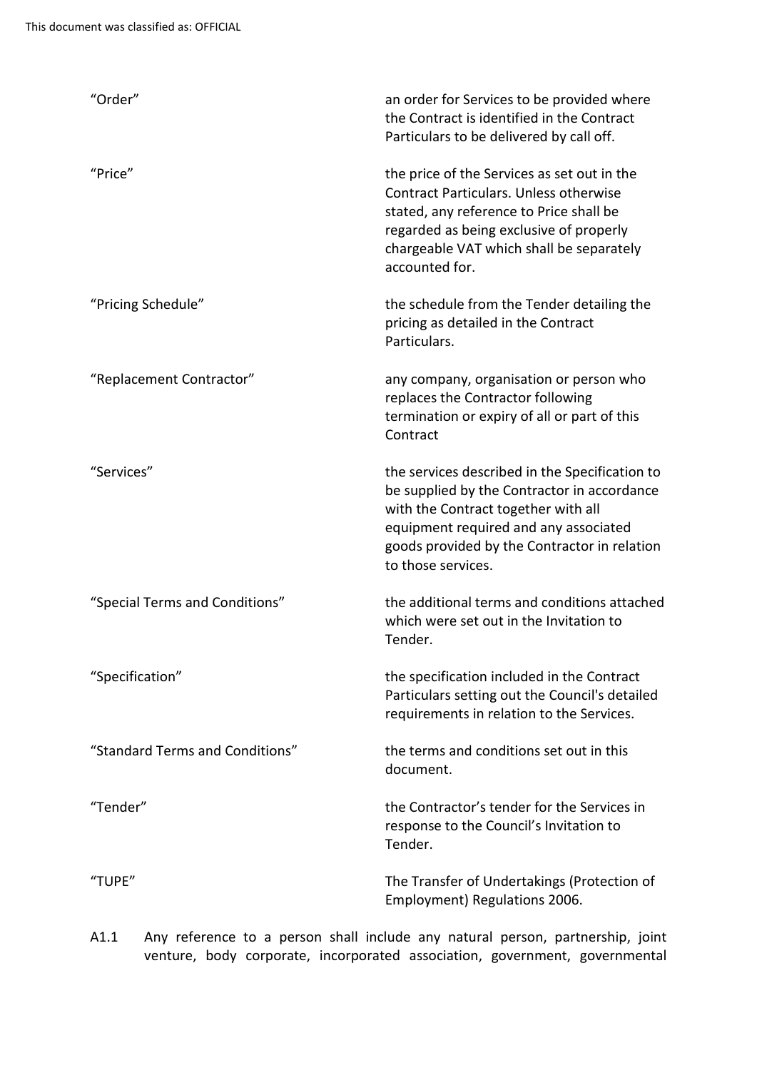| "Order"                         | an order for Services to be provided where<br>the Contract is identified in the Contract<br>Particulars to be delivered by call off.                                                                                                                |
|---------------------------------|-----------------------------------------------------------------------------------------------------------------------------------------------------------------------------------------------------------------------------------------------------|
| "Price"                         | the price of the Services as set out in the<br><b>Contract Particulars. Unless otherwise</b><br>stated, any reference to Price shall be<br>regarded as being exclusive of properly<br>chargeable VAT which shall be separately<br>accounted for.    |
| "Pricing Schedule"              | the schedule from the Tender detailing the<br>pricing as detailed in the Contract<br>Particulars.                                                                                                                                                   |
| "Replacement Contractor"        | any company, organisation or person who<br>replaces the Contractor following<br>termination or expiry of all or part of this<br>Contract                                                                                                            |
| "Services"                      | the services described in the Specification to<br>be supplied by the Contractor in accordance<br>with the Contract together with all<br>equipment required and any associated<br>goods provided by the Contractor in relation<br>to those services. |
| "Special Terms and Conditions"  | the additional terms and conditions attached<br>which were set out in the Invitation to<br>Tender.                                                                                                                                                  |
| "Specification"                 | the specification included in the Contract<br>Particulars setting out the Council's detailed<br>requirements in relation to the Services.                                                                                                           |
| "Standard Terms and Conditions" | the terms and conditions set out in this<br>document.                                                                                                                                                                                               |
| "Tender"                        | the Contractor's tender for the Services in<br>response to the Council's Invitation to<br>Tender.                                                                                                                                                   |
| "TUPE"                          | The Transfer of Undertakings (Protection of<br>Employment) Regulations 2006.                                                                                                                                                                        |

A1.1 Any reference to a person shall include any natural person, partnership, joint venture, body corporate, incorporated association, government, governmental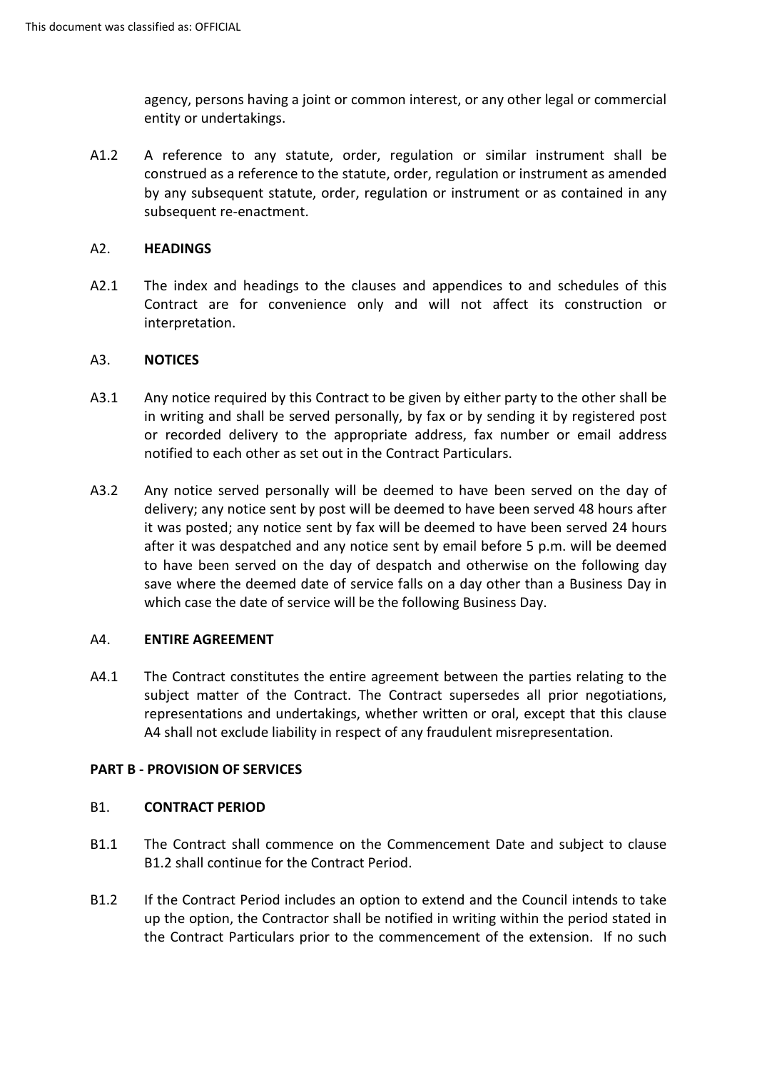agency, persons having a joint or common interest, or any other legal or commercial entity or undertakings.

A1.2 A reference to any statute, order, regulation or similar instrument shall be construed as a reference to the statute, order, regulation or instrument as amended by any subsequent statute, order, regulation or instrument or as contained in any subsequent re-enactment.

## <span id="page-8-0"></span>A2. **HEADINGS**

 Contract are for convenience only and will not affect its construction or A2.1 The index and headings to the clauses and appendices to and schedules of this interpretation.

## <span id="page-8-1"></span>A3. **NOTICES**

- A3.1 Any notice required by this Contract to be given by either party to the other shall be in writing and shall be served personally, by fax or by sending it by registered post or recorded delivery to the appropriate address, fax number or email address notified to each other as set out in the Contract Particulars.
- A3.2 Any notice served personally will be deemed to have been served on the day of delivery; any notice sent by post will be deemed to have been served 48 hours after it was posted; any notice sent by fax will be deemed to have been served 24 hours after it was despatched and any notice sent by email before 5 p.m. will be deemed save where the deemed date of service falls on a day other than a Business Day in to have been served on the day of despatch and otherwise on the following day which case the date of service will be the following Business Day.

## <span id="page-8-2"></span>A4. **ENTIRE AGREEMENT**

 representations and undertakings, whether written or oral, except that this clause A4.1 The Contract constitutes the entire agreement between the parties relating to the subject matter of the Contract. The Contract supersedes all prior negotiations, A4 shall not exclude liability in respect of any fraudulent misrepresentation.

## **PART B - PROVISION OF SERVICES**

## <span id="page-8-3"></span>B1. **CONTRACT PERIOD**

- B1.1 The Contract shall commence on the Commencement Date and subject to clause B1.2 shall continue for the Contract Period.
- B1.2 If the Contract Period includes an option to extend and the Council intends to take up the option, the Contractor shall be notified in writing within the period stated in the Contract Particulars prior to the commencement of the extension. If no such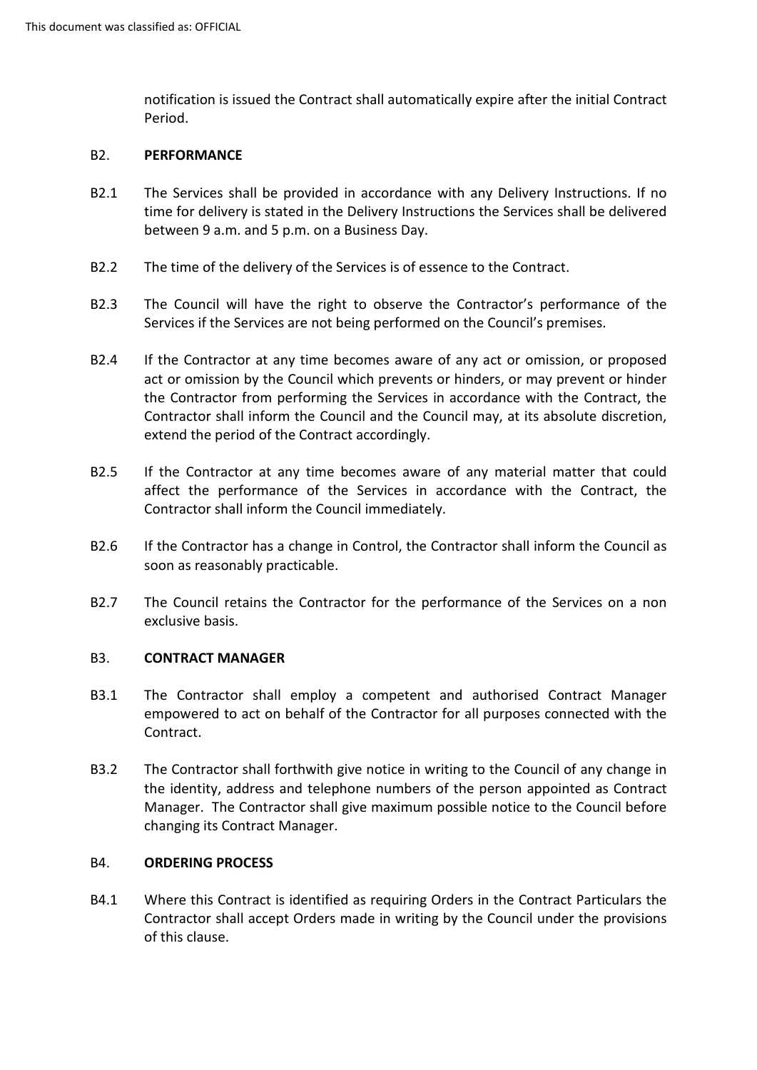notification is issued the Contract shall automatically expire after the initial Contract Period.

## <span id="page-9-0"></span>B2. **PERFORMANCE**

- B2.1 The Services shall be provided in accordance with any Delivery Instructions. If no time for delivery is stated in the Delivery Instructions the Services shall be delivered between 9 a.m. and 5 p.m. on a Business Day.
- B2.2 The time of the delivery of the Services is of essence to the Contract.
- B2.3 The Council will have the right to observe the Contractor's performance of the Services if the Services are not being performed on the Council's premises.
- act or omission by the Council which prevents or hinders, or may prevent or hinder B2.4 If the Contractor at any time becomes aware of any act or omission, or proposed the Contractor from performing the Services in accordance with the Contract, the Contractor shall inform the Council and the Council may, at its absolute discretion, extend the period of the Contract accordingly.
- Contractor shall inform the Council immediately. B2.5 If the Contractor at any time becomes aware of any material matter that could affect the performance of the Services in accordance with the Contract, the
- B2.6 If the Contractor has a change in Control, the Contractor shall inform the Council as soon as reasonably practicable.
- B2.7 The Council retains the Contractor for the performance of the Services on a non exclusive basis.

#### <span id="page-9-1"></span>B3. **CONTRACT MANAGER**

- B3.1 The Contractor shall employ a competent and authorised Contract Manager empowered to act on behalf of the Contractor for all purposes connected with the Contract.
- Manager. The Contractor shall give maximum possible notice to the Council before B3.2 The Contractor shall forthwith give notice in writing to the Council of any change in the identity, address and telephone numbers of the person appointed as Contract changing its Contract Manager.

## <span id="page-9-2"></span>B4. **ORDERING PROCESS**

B4.1 Where this Contract is identified as requiring Orders in the Contract Particulars the Contractor shall accept Orders made in writing by the Council under the provisions of this clause.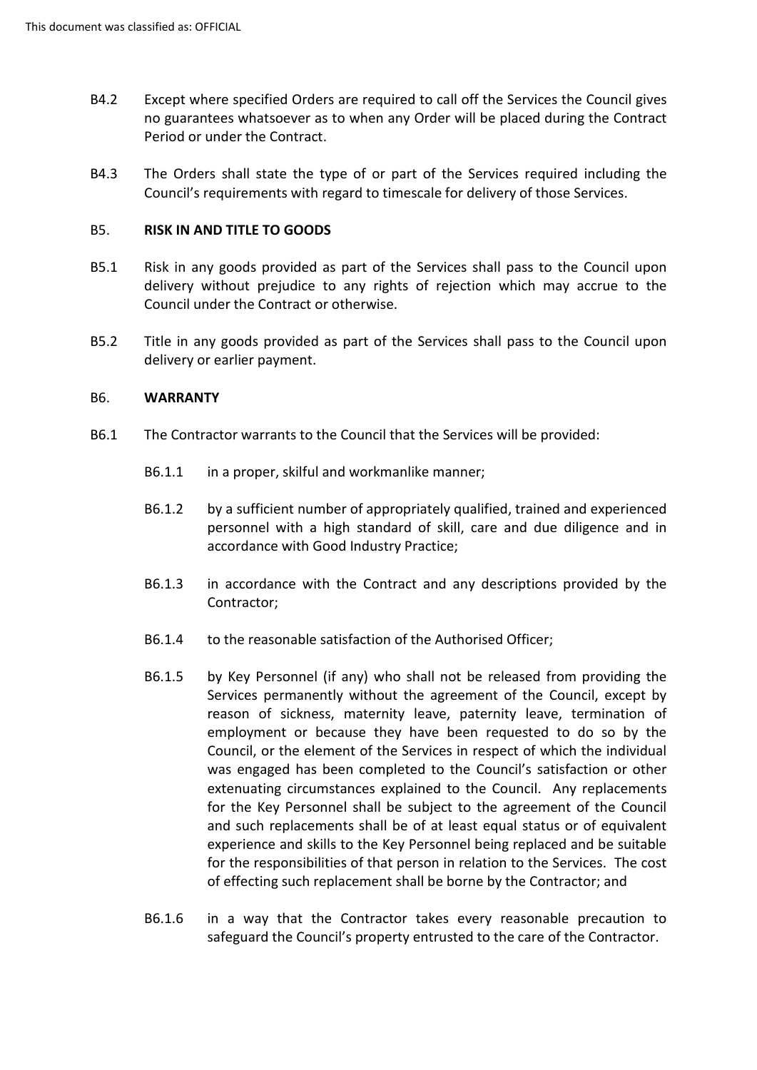- B4.2 Except where specified Orders are required to call off the Services the Council gives no guarantees whatsoever as to when any Order will be placed during the Contract Period or under the Contract.
- B4.3 The Orders shall state the type of or part of the Services required including the Council's requirements with regard to timescale for delivery of those Services.

# <span id="page-10-0"></span> B5. **RISK IN AND TITLE TO GOODS**

- B5.1 Risk in any goods provided as part of the Services shall pass to the Council upon delivery without prejudice to any rights of rejection which may accrue to the Council under the Contract or otherwise.
- B5.2 Title in any goods provided as part of the Services shall pass to the Council upon delivery or earlier payment.

#### <span id="page-10-1"></span>B6. **WARRANTY**

- B6.1 The Contractor warrants to the Council that the Services will be provided:
	- B6.1.1 in a proper, skilful and workmanlike manner;
	- by a sufficient number of appropriately qualified, trained and experienced B6.1.2 by a sufficient number of appropriately qualified, trained and experienced personnel with a high standard of skill, care and due diligence and in accordance with Good Industry Practice;
	- B6.1.3 in accordance with the Contract and any descriptions provided by the Contractor;
	- B6.1.4 to the reasonable satisfaction of the Authorised Officer;
	- employment or because they have been requested to do so by the Council, or the element of the Services in respect of which the individual and such replacements shall be of at least equal status or of equivalent for the responsibilities of that person in relation to the Services. The cost B6.1.5 by Key Personnel (if any) who shall not be released from providing the Services permanently without the agreement of the Council, except by reason of sickness, maternity leave, paternity leave, termination of was engaged has been completed to the Council's satisfaction or other extenuating circumstances explained to the Council. Any replacements for the Key Personnel shall be subject to the agreement of the Council experience and skills to the Key Personnel being replaced and be suitable of effecting such replacement shall be borne by the Contractor; and
	- B6.1.6 in a way that the Contractor takes every reasonable precaution to safeguard the Council's property entrusted to the care of the Contractor.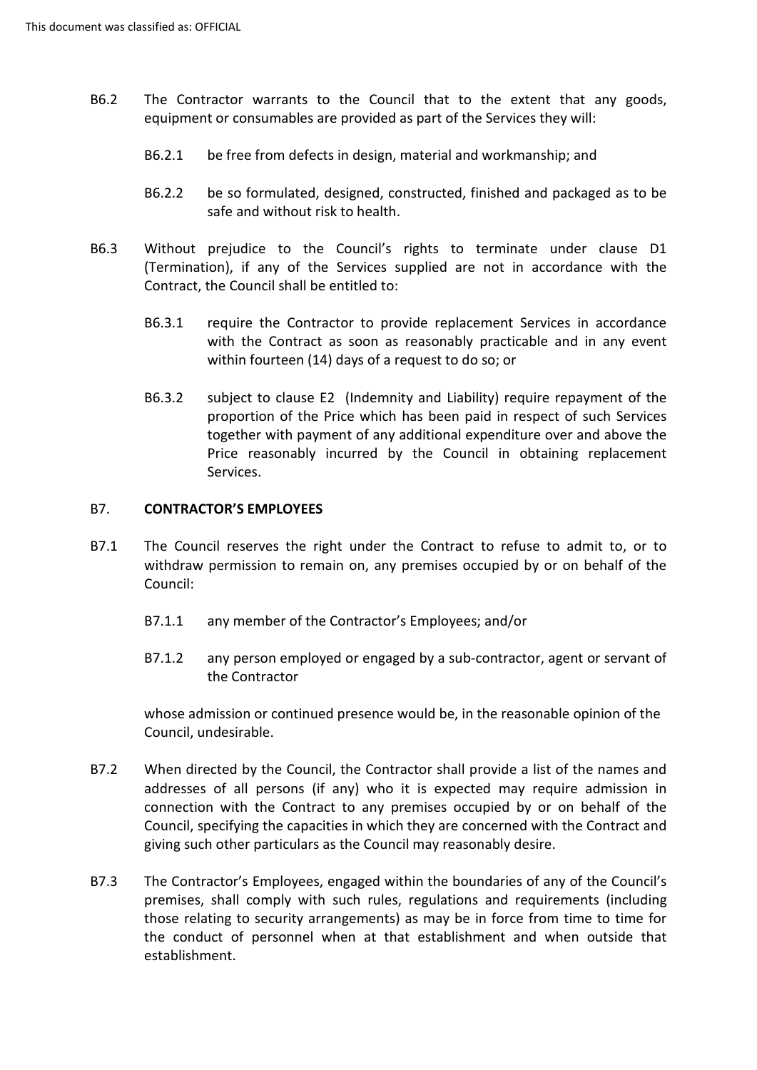- B6.2 The Contractor warrants to the Council that to the extent that any goods, equipment or consumables are provided as part of the Services they will:
	- B6.2.1 be free from defects in design, material and workmanship; and
	- B6.2.2 be so formulated, designed, constructed, finished and packaged as to be safe and without risk to health.
- Without prejudice to the Council's rights to terminate under clause D1 (Termination), if any of the Services supplied are not in accordance with the B6.3 Contract, the Council shall be entitled to:
	- B6.3.1 require the Contractor to provide replacement Services in accordance with the Contract as soon as reasonably practicable and in any event within fourteen (14) days of a request to do so; or
	- B6.3.2 subject to clause E2 (Indemnity and Liability) require repayment of the together with payment of any additional expenditure over and above the proportion of the Price which has been paid in respect of such Services Price reasonably incurred by the Council in obtaining replacement Services.

#### <span id="page-11-0"></span>B7. **CONTRACTOR'S EMPLOYEES**

- The Council reserves the right under the Contract to refuse to admit to, or to withdraw permission to remain on, any premises occupied by or on behalf of the B7.1 Council:
	- B7.1.1 any member of the Contractor's Employees; and/or
	- the Contractor B7.1.2 any person employed or engaged by a sub-contractor, agent or servant of

whose admission or continued presence would be, in the reasonable opinion of the Council, undesirable.

- When directed by the Council, the Contractor shall provide a list of the names and Council, specifying the capacities in which they are concerned with the Contract and B7.2 addresses of all persons (if any) who it is expected may require admission in connection with the Contract to any premises occupied by or on behalf of the giving such other particulars as the Council may reasonably desire.
- The Contractor's Employees, engaged within the boundaries of any of the Council's those relating to security arrangements) as may be in force from time to time for B7.3 premises, shall comply with such rules, regulations and requirements (including the conduct of personnel when at that establishment and when outside that establishment.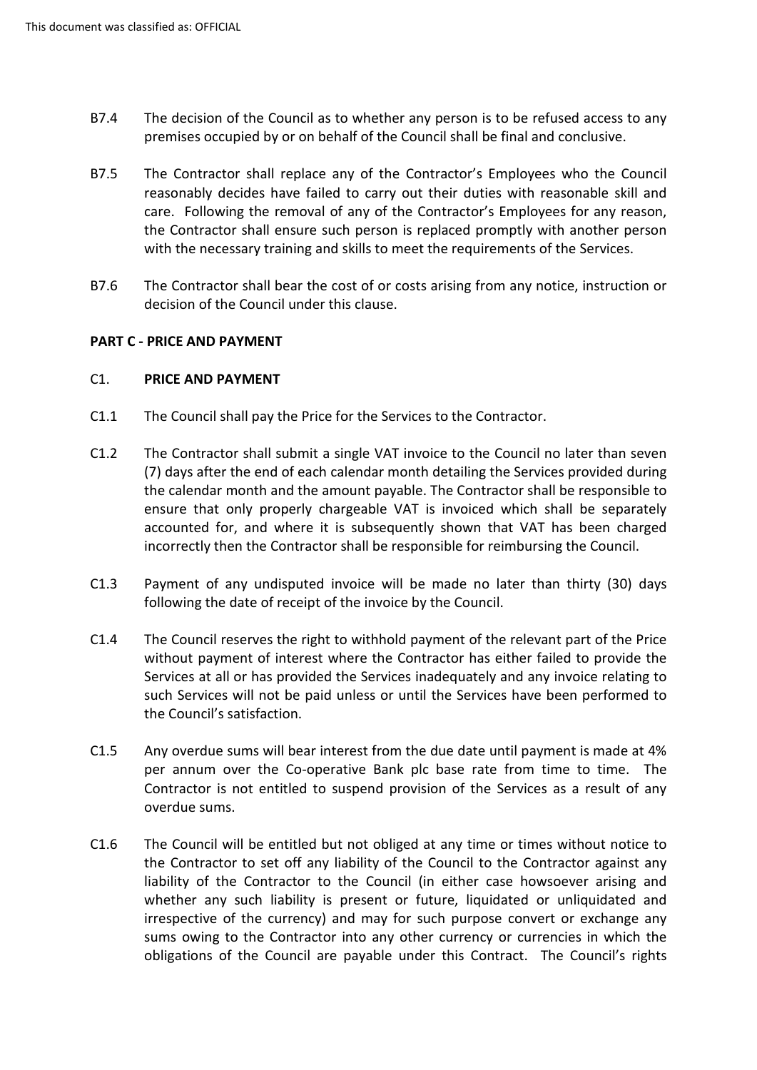- B7.4 The decision of the Council as to whether any person is to be refused access to any premises occupied by or on behalf of the Council shall be final and conclusive.
- B7.5 The Contractor shall replace any of the Contractor's Employees who the Council with the necessary training and skills to meet the requirements of the Services. reasonably decides have failed to carry out their duties with reasonable skill and care. Following the removal of any of the Contractor's Employees for any reason, the Contractor shall ensure such person is replaced promptly with another person
- B7.6 The Contractor shall bear the cost of or costs arising from any notice, instruction or decision of the Council under this clause.

## **PART C - PRICE AND PAYMENT**

## <span id="page-12-0"></span>C1. **PRICE AND PAYMENT**

- C1.1 The Council shall pay the Price for the Services to the Contractor.
- C1.2 The Contractor shall submit a single VAT invoice to the Council no later than seven (7) days after the end of each calendar month detailing the Services provided during ensure that only properly chargeable VAT is invoiced which shall be separately incorrectly then the Contractor shall be responsible for reimbursing the Council. the calendar month and the amount payable. The Contractor shall be responsible to accounted for, and where it is subsequently shown that VAT has been charged
- C1.3 Payment of any undisputed invoice will be made no later than thirty (30) days following the date of receipt of the invoice by the Council.
- Services at all or has provided the Services inadequately and any invoice relating to C1.4 The Council reserves the right to withhold payment of the relevant part of the Price without payment of interest where the Contractor has either failed to provide the such Services will not be paid unless or until the Services have been performed to the Council's satisfaction.
- per annum over the Co-operative Bank plc base rate from time to time. The Contractor is not entitled to suspend provision of the Services as a result of any C1.5 Any overdue sums will bear interest from the due date until payment is made at 4% overdue sums.
- liability of the Contractor to the Council (in either case howsoever arising and sums owing to the Contractor into any other currency or currencies in which the C1.6 The Council will be entitled but not obliged at any time or times without notice to the Contractor to set off any liability of the Council to the Contractor against any whether any such liability is present or future, liquidated or unliquidated and irrespective of the currency) and may for such purpose convert or exchange any obligations of the Council are payable under this Contract. The Council's rights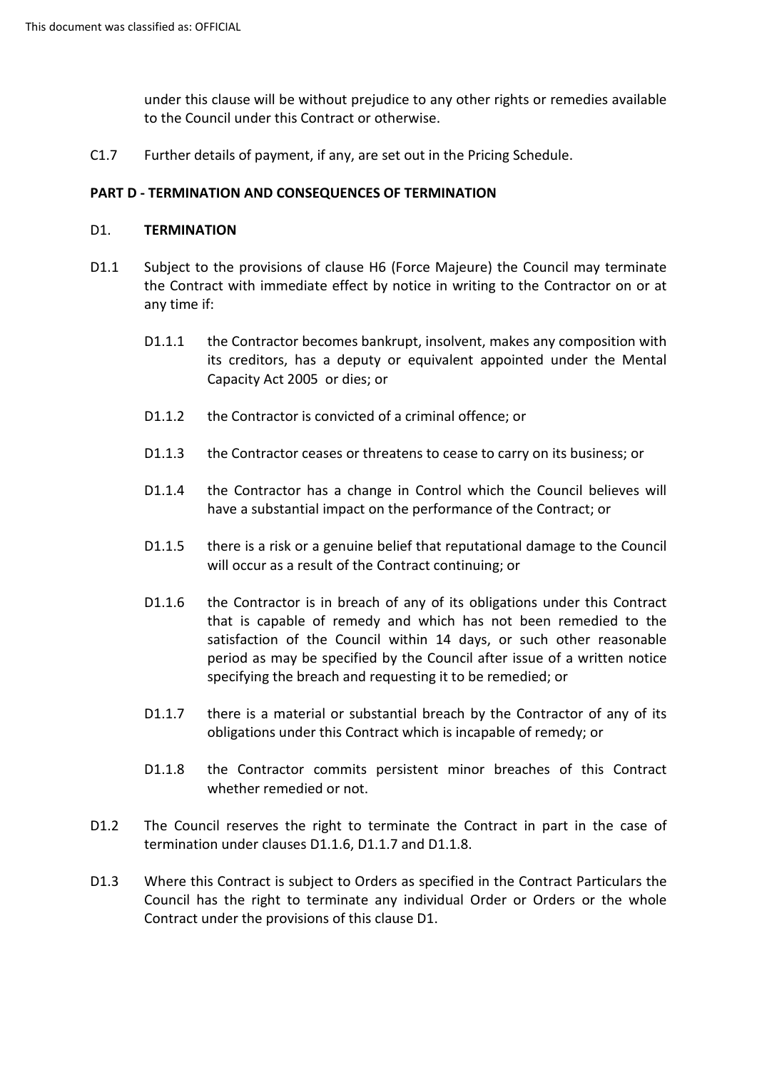under this clause will be without prejudice to any other rights or remedies available to the Council under this Contract or otherwise.

C1.7 Further details of payment, if any, are set out in the Pricing Schedule.

# **PART D - TERMINATION AND CONSEQUENCES OF TERMINATION**

#### <span id="page-13-0"></span>D1. **TERMINATION**

- D1.1 Subject to the provisions of clause H6 (Force Majeure) the Council may terminate the Contract with immediate effect by notice in writing to the Contractor on or at any time if:
	- Capacity Act 2005 or dies; or D1.1.1 the Contractor becomes bankrupt, insolvent, makes any composition with its creditors, has a deputy or equivalent appointed under the Mental
	- D1.1.2 the Contractor is convicted of a criminal offence; or
	- D1.1.3 the Contractor ceases or threatens to cease to carry on its business; or
	- D1.1.4 the Contractor has a change in Control which the Council believes will have a substantial impact on the performance of the Contract; or
	- D1.1.5 there is a risk or a genuine belief that reputational damage to the Council will occur as a result of the Contract continuing; or
	- period as may be specified by the Council after issue of a written notice D1.1.6 the Contractor is in breach of any of its obligations under this Contract that is capable of remedy and which has not been remedied to the satisfaction of the Council within 14 days, or such other reasonable specifying the breach and requesting it to be remedied; or
	- D1.1.7 there is a material or substantial breach by the Contractor of any of its obligations under this Contract which is incapable of remedy; or
	- D1.1.8 the Contractor commits persistent minor breaches of this Contract whether remedied or not.
- D1.2 The Council reserves the right to terminate the Contract in part in the case of termination under clauses D1.1.6, D1.1.7 and D1.1.8.
- Council has the right to terminate any individual Order or Orders or the whole D1.3 Where this Contract is subject to Orders as specified in the Contract Particulars the Contract under the provisions of this clause D1.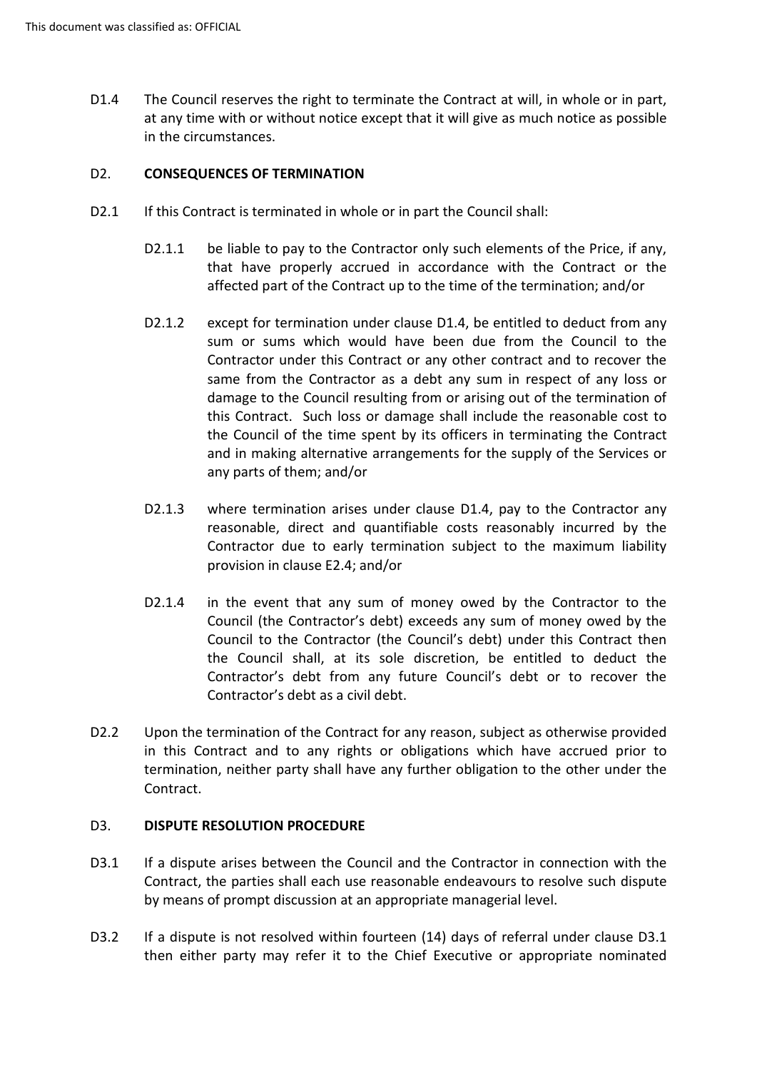at any time with or without notice except that it will give as much notice as possible D1.4 The Council reserves the right to terminate the Contract at will, in whole or in part, in the circumstances.

## <span id="page-14-0"></span>D2. **CONSEQUENCES OF TERMINATION**

- D2.1 If this Contract is terminated in whole or in part the Council shall:
	- D2.1.1 be liable to pay to the Contractor only such elements of the Price, if any, that have properly accrued in accordance with the Contract or the affected part of the Contract up to the time of the termination; and/or
	- D2.1.2 except for termination under clause D1.4, be entitled to deduct from any this Contract. Such loss or damage shall include the reasonable cost to the Council of the time spent by its officers in terminating the Contract and in making alternative arrangements for the supply of the Services or sum or sums which would have been due from the Council to the Contractor under this Contract or any other contract and to recover the same from the Contractor as a debt any sum in respect of any loss or damage to the Council resulting from or arising out of the termination of any parts of them; and/or
	- reasonable, direct and quantifiable costs reasonably incurred by the D2.1.3 where termination arises under clause D1.4, pay to the Contractor any Contractor due to early termination subject to the maximum liability provision in clause E2.4; and/or
	- D2.1.4 in the event that any sum of money owed by the Contractor to the Council to the Contractor (the Council's debt) under this Contract then Contractor's debt as a civil debt. Council (the Contractor's debt) exceeds any sum of money owed by the the Council shall, at its sole discretion, be entitled to deduct the Contractor's debt from any future Council's debt or to recover the
- D2.2 Upon the termination of the Contract for any reason, subject as otherwise provided in this Contract and to any rights or obligations which have accrued prior to termination, neither party shall have any further obligation to the other under the Contract.

## <span id="page-14-1"></span>D3. **DISPUTE RESOLUTION PROCEDURE**

- D3.1 If a dispute arises between the Council and the Contractor in connection with the Contract, the parties shall each use reasonable endeavours to resolve such dispute by means of prompt discussion at an appropriate managerial level.
- D3.2 If a dispute is not resolved within fourteen (14) days of referral under clause D3.1 then either party may refer it to the Chief Executive or appropriate nominated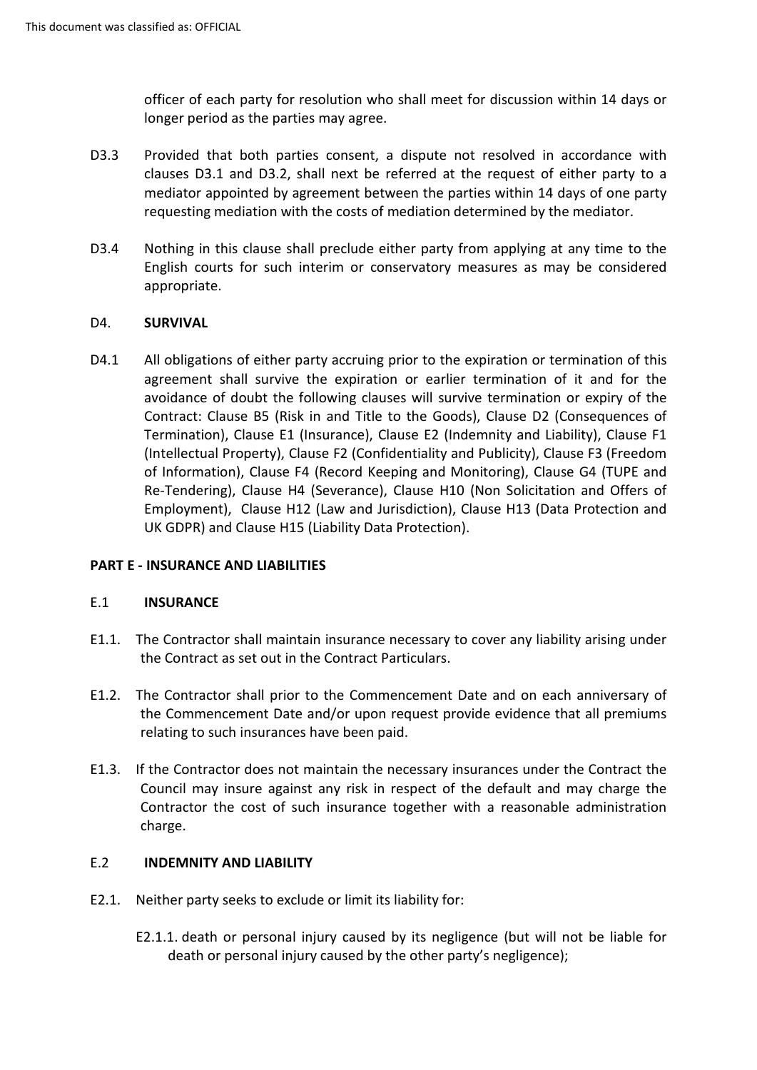officer of each party for resolution who shall meet for discussion within 14 days or longer period as the parties may agree.

- clauses D3.1 and D3.2, shall next be referred at the request of either party to a mediator appointed by agreement between the parties within 14 days of one party requesting mediation with the costs of mediation determined by the mediator. D3.3 Provided that both parties consent, a dispute not resolved in accordance with
- D3.4 Nothing in this clause shall preclude either party from applying at any time to the English courts for such interim or conservatory measures as may be considered appropriate.

## <span id="page-15-0"></span>D4. **SURVIVAL**

 D4.1 All obligations of either party accruing prior to the expiration or termination of this agreement shall survive the expiration or earlier termination of it and for the avoidance of doubt the following clauses will survive termination or expiry of the Termination), Clause E1 (Insurance), Clause E2 (Indemnity and Liability), Clause F1 of Information), Clause F4 (Record Keeping and Monitoring), Clause G4 (TUPE and Re-Tendering), Clause H4 (Severance), Clause H10 (Non Solicitation and Offers of Employment), Clause H12 (Law and Jurisdiction), Clause H13 (Data Protection and Contract: Clause B5 (Risk in and Title to the Goods), Clause D2 (Consequences of (Intellectual Property), Clause F2 (Confidentiality and Publicity), Clause F3 (Freedom UK GDPR) and Clause H15 (Liability Data Protection).

## **PART E - INSURANCE AND LIABILITIES**

## <span id="page-15-1"></span>E.1 **INSURANCE**

- E1.1. The Contractor shall maintain insurance necessary to cover any liability arising under the Contract as set out in the Contract Particulars.
- E1.2. The Contractor shall prior to the Commencement Date and on each anniversary of the Commencement Date and/or upon request provide evidence that all premiums relating to such insurances have been paid.
- Contractor the cost of such insurance together with a reasonable administration E1.3. If the Contractor does not maintain the necessary insurances under the Contract the Council may insure against any risk in respect of the default and may charge the charge.

## <span id="page-15-2"></span>E.2 **INDEMNITY AND LIABILITY**

- E2.1. Neither party seeks to exclude or limit its liability for:
	- E2.1.1. death or personal injury caused by its negligence (but will not be liable for death or personal injury caused by the other party's negligence);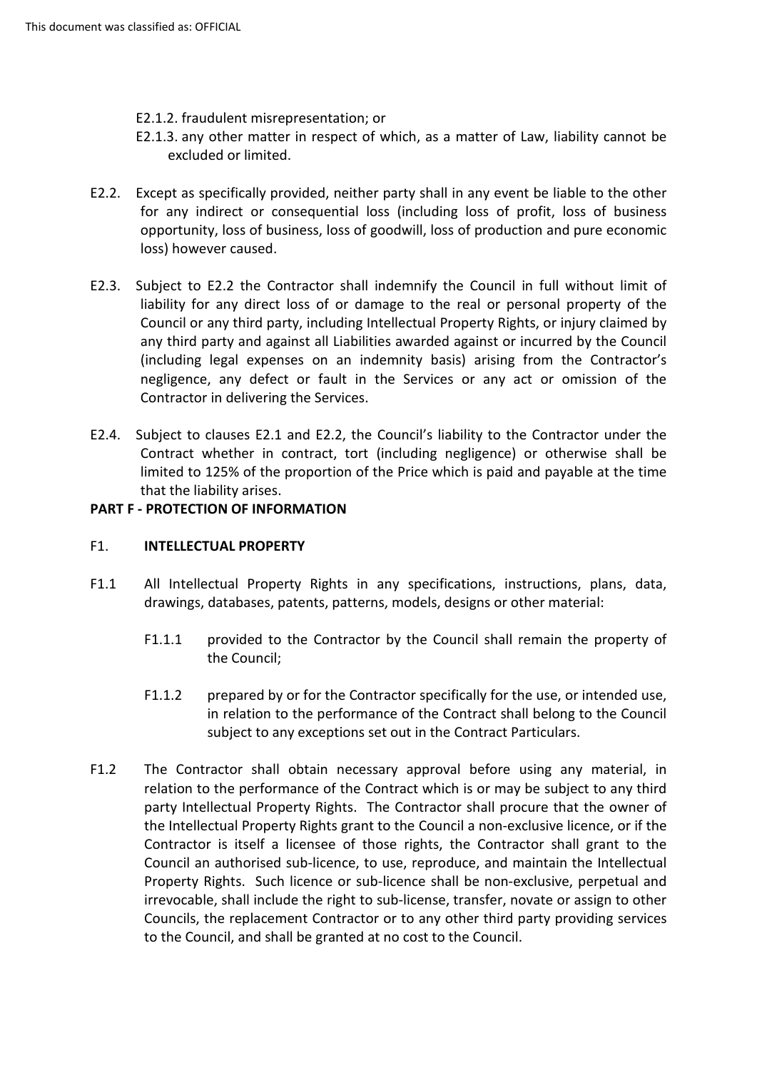- E2.1.2. fraudulent misrepresentation; or
- E2.1.3. any other matter in respect of which, as a matter of Law, liability cannot be excluded or limited.
- E2.2. Except as specifically provided, neither party shall in any event be liable to the other for any indirect or consequential loss (including loss of profit, loss of business opportunity, loss of business, loss of goodwill, loss of production and pure economic loss) however caused.
- liability for any direct loss of or damage to the real or personal property of the Council or any third party, including Intellectual Property Rights, or injury claimed by E2.3. Subject to E2.2 the Contractor shall indemnify the Council in full without limit of any third party and against all Liabilities awarded against or incurred by the Council (including legal expenses on an indemnity basis) arising from the Contractor's negligence, any defect or fault in the Services or any act or omission of the Contractor in delivering the Services.
- E2.4. Subject to clauses E2.1 and E2.2, the Council's liability to the Contractor under the Contract whether in contract, tort (including negligence) or otherwise shall be limited to 125% of the proportion of the Price which is paid and payable at the time that the liability arises.

## **PART F - PROTECTION OF INFORMATION**

## <span id="page-16-0"></span>F1. **INTELLECTUAL PROPERTY**

- F1.1 All Intellectual Property Rights in any specifications, instructions, plans, data, drawings, databases, patents, patterns, models, designs or other material:
	- F1.1.1 provided to the Contractor by the Council shall remain the property of the Council;
	- F1.1.2 prepared by or for the Contractor specifically for the use, or intended use, in relation to the performance of the Contract shall belong to the Council subject to any exceptions set out in the Contract Particulars.
- F1.2 The Contractor shall obtain necessary approval before using any material, in the Intellectual Property Rights grant to the Council a non-exclusive licence, or if the Council an authorised sub-licence, to use, reproduce, and maintain the Intellectual irrevocable, shall include the right to sub-license, transfer, novate or assign to other Councils, the replacement Contractor or to any other third party providing services relation to the performance of the Contract which is or may be subject to any third party Intellectual Property Rights. The Contractor shall procure that the owner of Contractor is itself a licensee of those rights, the Contractor shall grant to the Property Rights. Such licence or sub-licence shall be non-exclusive, perpetual and to the Council, and shall be granted at no cost to the Council.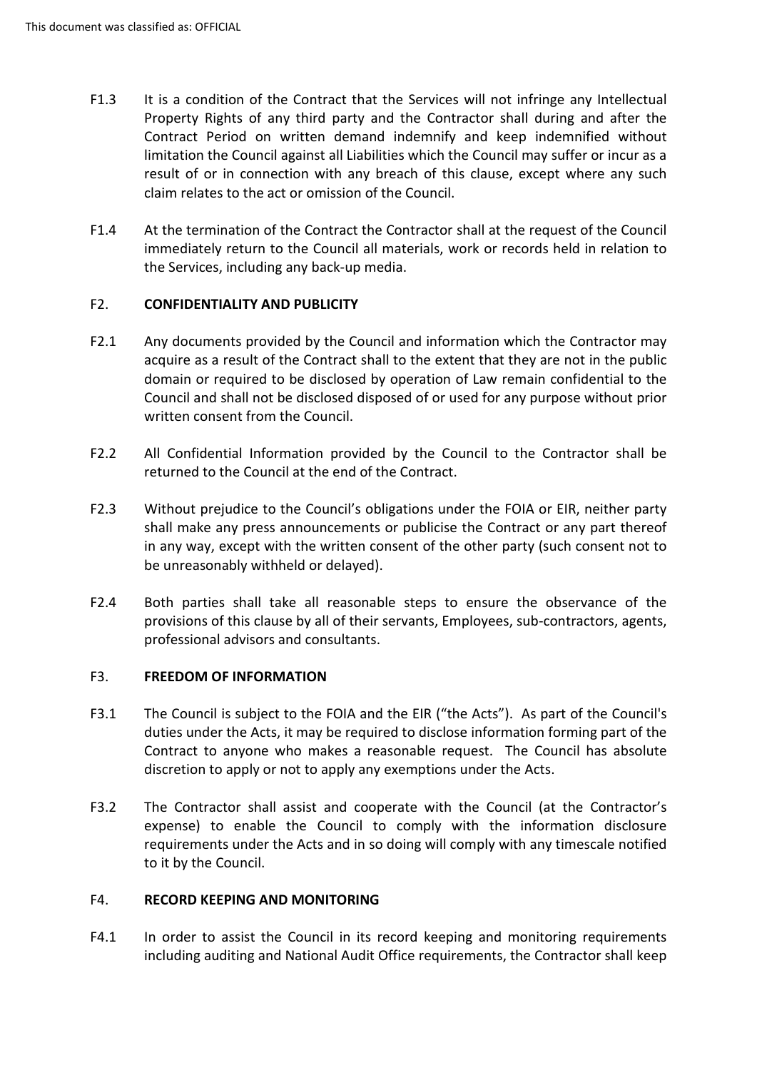- F1.3 It is a condition of the Contract that the Services will not infringe any Intellectual limitation the Council against all Liabilities which the Council may suffer or incur as a Property Rights of any third party and the Contractor shall during and after the Contract Period on written demand indemnify and keep indemnified without result of or in connection with any breach of this clause, except where any such claim relates to the act or omission of the Council.
- F1.4 At the termination of the Contract the Contractor shall at the request of the Council immediately return to the Council all materials, work or records held in relation to the Services, including any back-up media.

## <span id="page-17-0"></span>F2. **CONFIDENTIALITY AND PUBLICITY**

- F2.1 Any documents provided by the Council and information which the Contractor may acquire as a result of the Contract shall to the extent that they are not in the public domain or required to be disclosed by operation of Law remain confidential to the Council and shall not be disclosed disposed of or used for any purpose without prior written consent from the Council.
- returned to the Council at the end of the Contract. F2.2 All Confidential Information provided by the Council to the Contractor shall be
- F2.3 Without prejudice to the Council's obligations under the FOIA or EIR, neither party in any way, except with the written consent of the other party (such consent not to shall make any press announcements or publicise the Contract or any part thereof be unreasonably withheld or delayed).
- F2.4 Both parties shall take all reasonable steps to ensure the observance of the provisions of this clause by all of their servants, Employees, sub-contractors, agents, professional advisors and consultants.

## <span id="page-17-1"></span>F3. **FREEDOM OF INFORMATION**

- duties under the Acts, it may be required to disclose information forming part of the discretion to apply or not to apply any exemptions under the Acts. F3.1 The Council is subject to the FOIA and the EIR ("the Acts"). As part of the Council's Contract to anyone who makes a reasonable request. The Council has absolute
- requirements under the Acts and in so doing will comply with any timescale notified F3.2 The Contractor shall assist and cooperate with the Council (at the Contractor's expense) to enable the Council to comply with the information disclosure to it by the Council.

## <span id="page-17-2"></span>F4. **RECORD KEEPING AND MONITORING**

F4.1 In order to assist the Council in its record keeping and monitoring requirements including auditing and National Audit Office requirements, the Contractor shall keep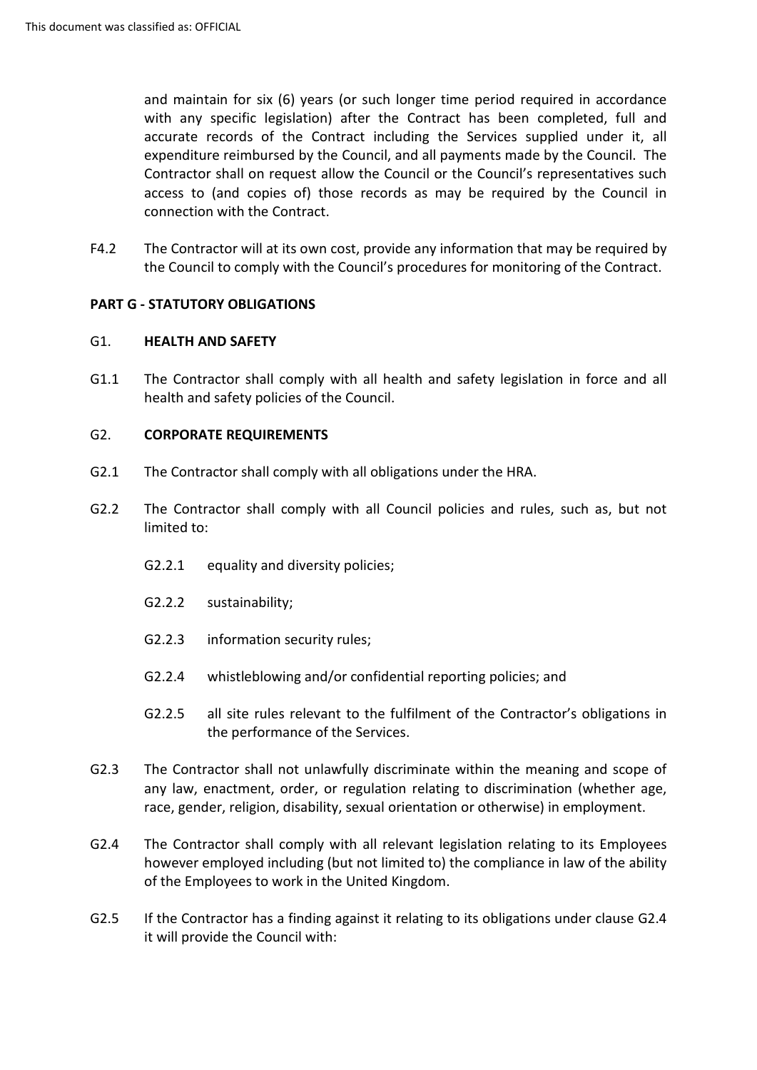and maintain for six (6) years (or such longer time period required in accordance expenditure reimbursed by the Council, and all payments made by the Council. The access to (and copies of) those records as may be required by the Council in with any specific legislation) after the Contract has been completed, full and accurate records of the Contract including the Services supplied under it, all Contractor shall on request allow the Council or the Council's representatives such connection with the Contract.

F4.2 The Contractor will at its own cost, provide any information that may be required by the Council to comply with the Council's procedures for monitoring of the Contract.

## **PART G - STATUTORY OBLIGATIONS**

## <span id="page-18-0"></span>G1. **HEALTH AND SAFETY**

G1.1 The Contractor shall comply with all health and safety legislation in force and all health and safety policies of the Council.

## <span id="page-18-1"></span>G2. **CORPORATE REQUIREMENTS**

- G2.1 The Contractor shall comply with all obligations under the HRA.
- G2.2 The Contractor shall comply with all Council policies and rules, such as, but not limited to:
	- G2.2.1 equality and diversity policies;
	- G2.2.2 sustainability;
	- G2.2.3 information security rules;
	- G2.2.4 whistleblowing and/or confidential reporting policies; and
	- the performance of the Services. G2.2.5 all site rules relevant to the fulfilment of the Contractor's obligations in
- G2.3 The Contractor shall not unlawfully discriminate within the meaning and scope of any law, enactment, order, or regulation relating to discrimination (whether age, race, gender, religion, disability, sexual orientation or otherwise) in employment.
- of the Employees to work in the United Kingdom. G2.4 The Contractor shall comply with all relevant legislation relating to its Employees however employed including (but not limited to) the compliance in law of the ability
- G2.5 If the Contractor has a finding against it relating to its obligations under clause G2.4 it will provide the Council with: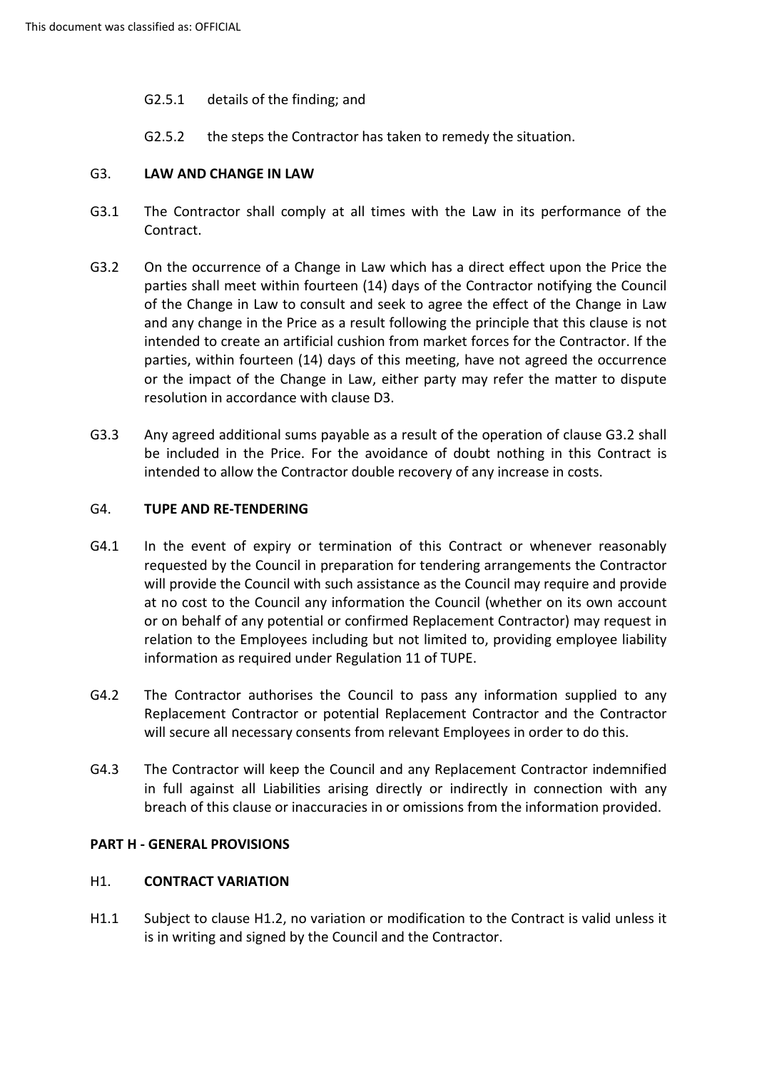- G2.5.1 details of the finding; and
- G2.5.2 the steps the Contractor has taken to remedy the situation.

## <span id="page-19-0"></span>G3. **LAW AND CHANGE IN LAW**

- G3.1 The Contractor shall comply at all times with the Law in its performance of the Contract.
- G3.2 On the occurrence of a Change in Law which has a direct effect upon the Price the parties shall meet within fourteen (14) days of the Contractor notifying the Council and any change in the Price as a result following the principle that this clause is not intended to create an artificial cushion from market forces for the Contractor. If the parties, within fourteen (14) days of this meeting, have not agreed the occurrence of the Change in Law to consult and seek to agree the effect of the Change in Law or the impact of the Change in Law, either party may refer the matter to dispute resolution in accordance with clause D3.
- G3.3 Any agreed additional sums payable as a result of the operation of clause G3.2 shall be included in the Price. For the avoidance of doubt nothing in this Contract is intended to allow the Contractor double recovery of any increase in costs.

#### <span id="page-19-1"></span>G4. **TUPE AND RE-TENDERING**

- G4.1 In the event of expiry or termination of this Contract or whenever reasonably relation to the Employees including but not limited to, providing employee liability information as required under Regulation 11 of TUPE. requested by the Council in preparation for tendering arrangements the Contractor will provide the Council with such assistance as the Council may require and provide at no cost to the Council any information the Council (whether on its own account or on behalf of any potential or confirmed Replacement Contractor) may request in
- will secure all necessary consents from relevant Employees in order to do this. G4.2 The Contractor authorises the Council to pass any information supplied to any Replacement Contractor or potential Replacement Contractor and the Contractor
- G4.3 The Contractor will keep the Council and any Replacement Contractor indemnified in full against all Liabilities arising directly or indirectly in connection with any breach of this clause or inaccuracies in or omissions from the information provided.

## **PART H - GENERAL PROVISIONS**

## <span id="page-19-2"></span>H1. **CONTRACT VARIATION**

H1.1 Subject to clause H1.2, no variation or modification to the Contract is valid unless it is in writing and signed by the Council and the Contractor.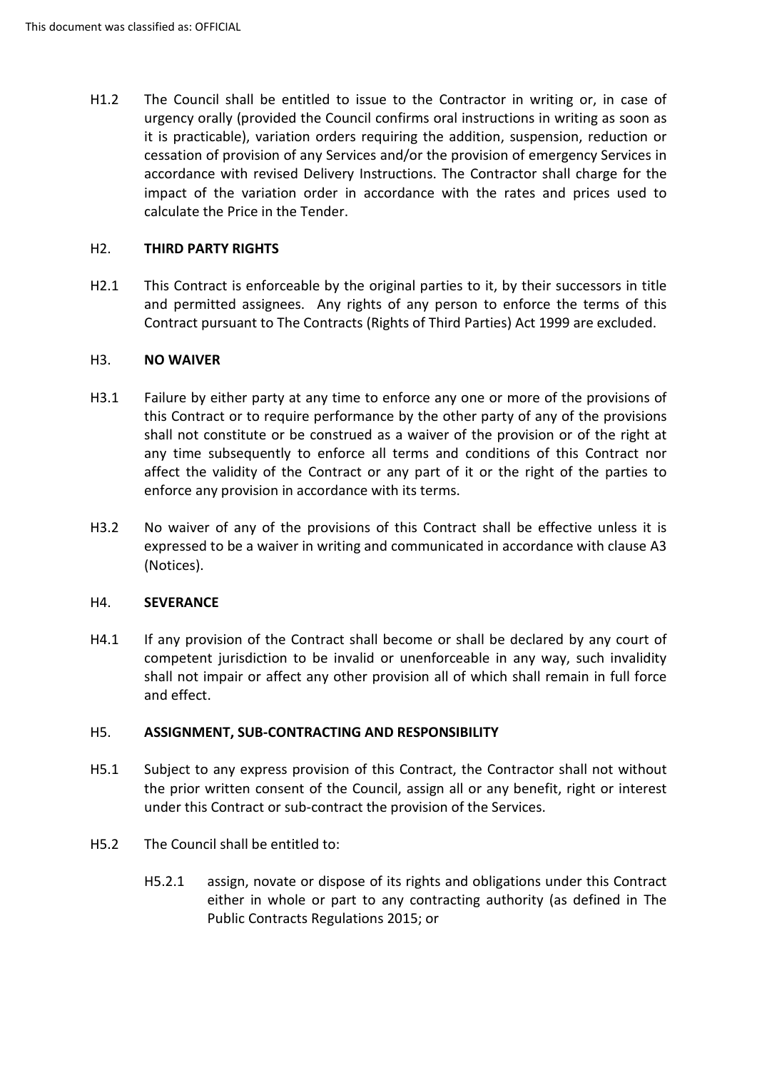urgency orally (provided the Council confirms oral instructions in writing as soon as accordance with revised Delivery Instructions. The Contractor shall charge for the impact of the variation order in accordance with the rates and prices used to H1.2 The Council shall be entitled to issue to the Contractor in writing or, in case of it is practicable), variation orders requiring the addition, suspension, reduction or cessation of provision of any Services and/or the provision of emergency Services in calculate the Price in the Tender.

## <span id="page-20-0"></span>H2. **THIRD PARTY RIGHTS**

 and permitted assignees. Any rights of any person to enforce the terms of this H2.1 This Contract is enforceable by the original parties to it, by their successors in title Contract pursuant to The Contracts (Rights of Third Parties) Act 1999 are excluded.

## <span id="page-20-1"></span>H3. **NO WAIVER**

- this Contract or to require performance by the other party of any of the provisions H3.1 Failure by either party at any time to enforce any one or more of the provisions of shall not constitute or be construed as a waiver of the provision or of the right at any time subsequently to enforce all terms and conditions of this Contract nor affect the validity of the Contract or any part of it or the right of the parties to enforce any provision in accordance with its terms.
- H3.2 No waiver of any of the provisions of this Contract shall be effective unless it is expressed to be a waiver in writing and communicated in accordance with clause A3 (Notices).

## <span id="page-20-2"></span>H4. **SEVERANCE**

 competent jurisdiction to be invalid or unenforceable in any way, such invalidity H4.1 If any provision of the Contract shall become or shall be declared by any court of shall not impair or affect any other provision all of which shall remain in full force and effect.

## <span id="page-20-3"></span>H5. **ASSIGNMENT, SUB-CONTRACTING AND RESPONSIBILITY**

- H5.1 Subject to any express provision of this Contract, the Contractor shall not without the prior written consent of the Council, assign all or any benefit, right or interest under this Contract or sub-contract the provision of the Services.
- H5.2 The Council shall be entitled to:
	- H5.2.1 assign, novate or dispose of its rights and obligations under this Contract either in whole or part to any contracting authority (as defined in The Public Contracts Regulations 2015; or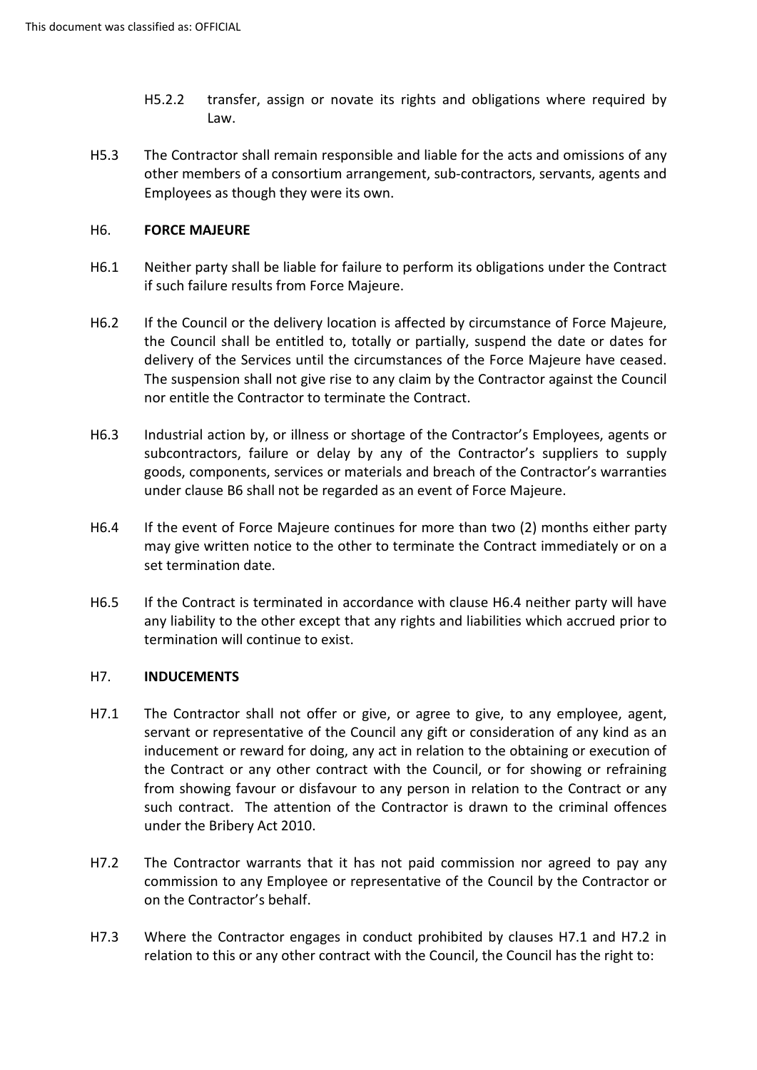- H5.2.2 transfer, assign or novate its rights and obligations where required by Law.
- H5.3 The Contractor shall remain responsible and liable for the acts and omissions of any other members of a consortium arrangement, sub-contractors, servants, agents and Employees as though they were its own.

## <span id="page-21-0"></span>H6. **FORCE MAJEURE**

- if such failure results from Force Majeure. H6.1 Neither party shall be liable for failure to perform its obligations under the Contract
- the Council shall be entitled to, totally or partially, suspend the date or dates for delivery of the Services until the circumstances of the Force Majeure have ceased. H6.2 If the Council or the delivery location is affected by circumstance of Force Majeure, The suspension shall not give rise to any claim by the Contractor against the Council nor entitle the Contractor to terminate the Contract.
- H6.3 Industrial action by, or illness or shortage of the Contractor's Employees, agents or subcontractors, failure or delay by any of the Contractor's suppliers to supply goods, components, services or materials and breach of the Contractor's warranties under clause B6 shall not be regarded as an event of Force Majeure.
- H6.4 If the event of Force Majeure continues for more than two (2) months either party may give written notice to the other to terminate the Contract immediately or on a set termination date.
- any liability to the other except that any rights and liabilities which accrued prior to H6.5 If the Contract is terminated in accordance with clause H6.4 neither party will have termination will continue to exist.

## <span id="page-21-1"></span>H7. **INDUCEMENTS**

- inducement or reward for doing, any act in relation to the obtaining or execution of the Contract or any other contract with the Council, or for showing or refraining such contract. The attention of the Contractor is drawn to the criminal offences under the Bribery Act 2010. H7.1 The Contractor shall not offer or give, or agree to give, to any employee, agent, servant or representative of the Council any gift or consideration of any kind as an from showing favour or disfavour to any person in relation to the Contract or any
- H7.2 The Contractor warrants that it has not paid commission nor agreed to pay any commission to any Employee or representative of the Council by the Contractor or on the Contractor's behalf.
- H7.3 Where the Contractor engages in conduct prohibited by clauses H7.1 and H7.2 in relation to this or any other contract with the Council, the Council has the right to: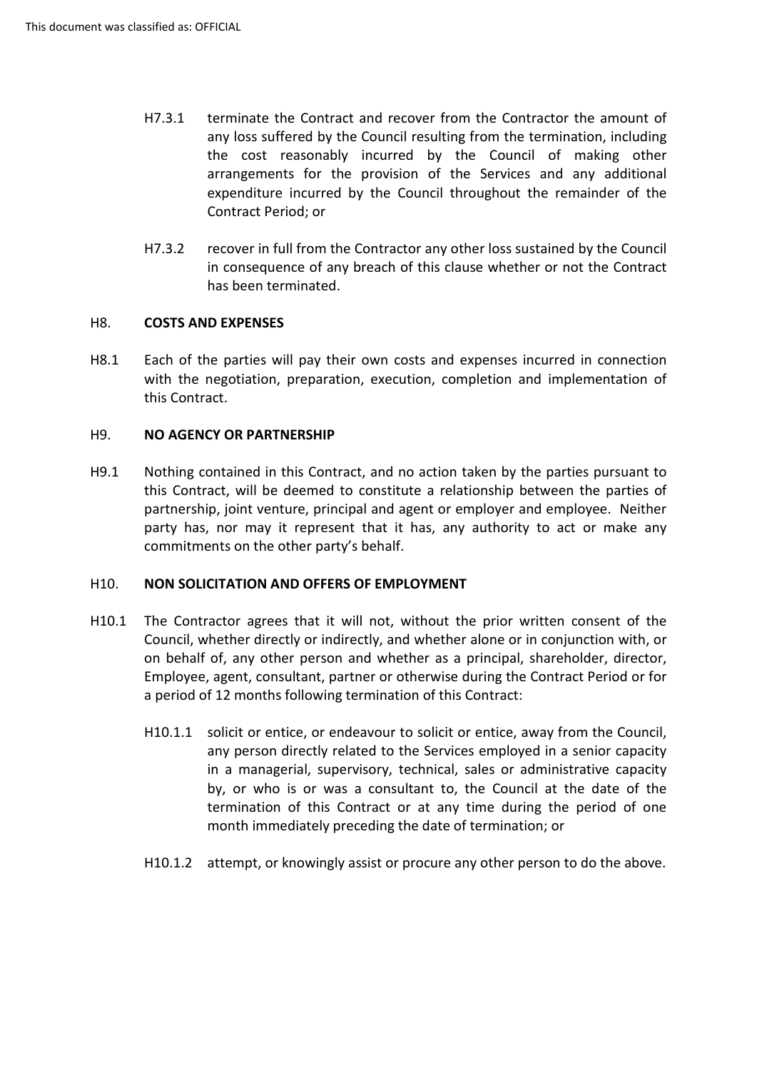- the cost reasonably incurred by the Council of making other arrangements for the provision of the Services and any additional expenditure incurred by the Council throughout the remainder of the H7.3.1 terminate the Contract and recover from the Contractor the amount of any loss suffered by the Council resulting from the termination, including Contract Period; or
- H7.3.2 recover in full from the Contractor any other loss sustained by the Council in consequence of any breach of this clause whether or not the Contract has been terminated.

## <span id="page-22-0"></span>H8. **COSTS AND EXPENSES**

 with the negotiation, preparation, execution, completion and implementation of H8.1 Each of the parties will pay their own costs and expenses incurred in connection this Contract.

## <span id="page-22-1"></span>H9. **NO AGENCY OR PARTNERSHIP**

 H9.1 Nothing contained in this Contract, and no action taken by the parties pursuant to partnership, joint venture, principal and agent or employer and employee. Neither party has, nor may it represent that it has, any authority to act or make any commitments on the other party's behalf. this Contract, will be deemed to constitute a relationship between the parties of

## <span id="page-22-2"></span>H10. **NON SOLICITATION AND OFFERS OF EMPLOYMENT**

- H10.1 The Contractor agrees that it will not, without the prior written consent of the on behalf of, any other person and whether as a principal, shareholder, director, Council, whether directly or indirectly, and whether alone or in conjunction with, or Employee, agent, consultant, partner or otherwise during the Contract Period or for a period of 12 months following termination of this Contract:
	- H10.1.1 solicit or entice, or endeavour to solicit or entice, away from the Council, any person directly related to the Services employed in a senior capacity in a managerial, supervisory, technical, sales or administrative capacity by, or who is or was a consultant to, the Council at the date of the termination of this Contract or at any time during the period of one month immediately preceding the date of termination; or
	- H10.1.2 attempt, or knowingly assist or procure any other person to do the above.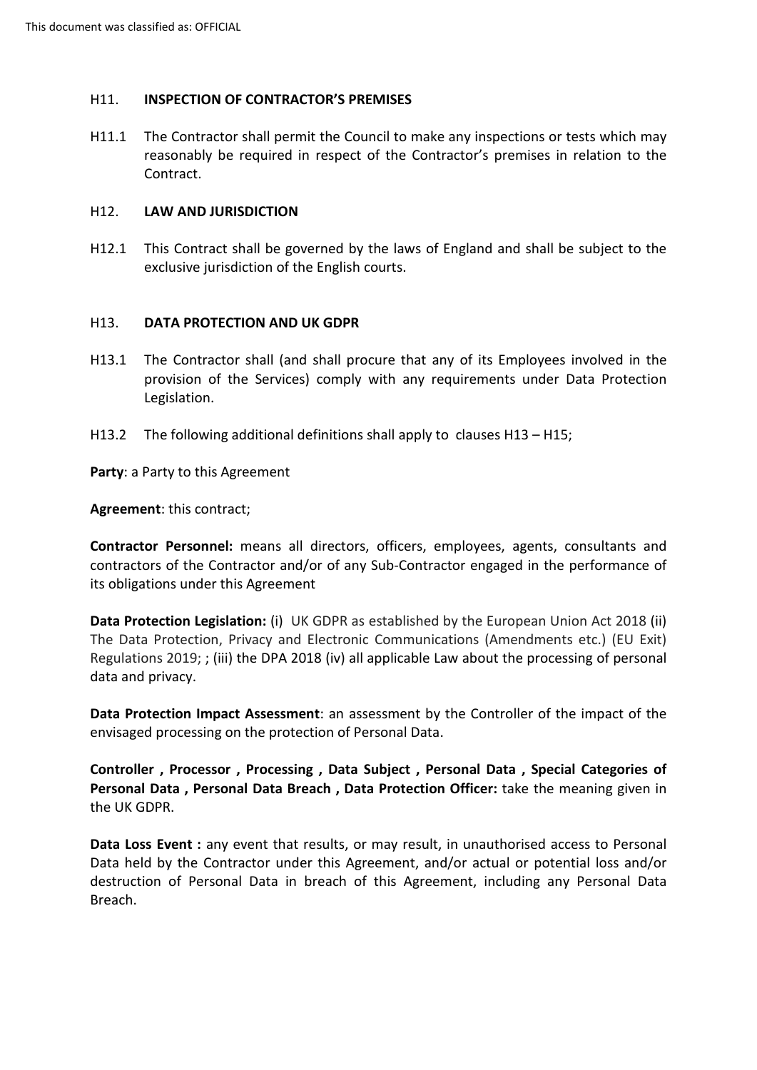## <span id="page-23-0"></span>H11. **INSPECTION OF CONTRACTOR'S PREMISES**

 H11.1 The Contractor shall permit the Council to make any inspections or tests which may reasonably be required in respect of the Contractor's premises in relation to the Contract.

#### <span id="page-23-1"></span>H12. **LAW AND JURISDICTION**

 H12.1 This Contract shall be governed by the laws of England and shall be subject to the exclusive jurisdiction of the English courts.

#### <span id="page-23-2"></span>H13. **DATA PROTECTION AND UK GDPR**

- provision of the Services) comply with any requirements under Data Protection H13.1 The Contractor shall (and shall procure that any of its Employees involved in the Legislation.
- H13.2 The following additional definitions shall apply to clauses H13 H15;

**Party**: a Party to this Agreement

**Agreement**: this contract;

 its obligations under this Agreement **Contractor Personnel:** means all directors, officers, employees, agents, consultants and contractors of the Contractor and/or of any Sub-Contractor engaged in the performance of

 **Data Protection Legislation:** (i) UK GDPR as established by the European Union Act 2018 (ii) The Data Protection, Privacy and Electronic Communications (Amendments etc.) (EU Exit) Regulations 2019; ; (iii) the DPA 2018 (iv) all applicable Law about the processing of personal data and privacy.

**Data Protection Impact Assessment**: an assessment by the Controller of the impact of the envisaged processing on the protection of Personal Data.

**Controller , Processor , Processing , Data Subject , Personal Data , Special Categories of Personal Data , Personal Data Breach , Data Protection Officer:** take the meaning given in the UK GDPR.

 **Data Loss Event :** any event that results, or may result, in unauthorised access to Personal Data held by the Contractor under this Agreement, and/or actual or potential loss and/or destruction of Personal Data in breach of this Agreement, including any Personal Data Breach.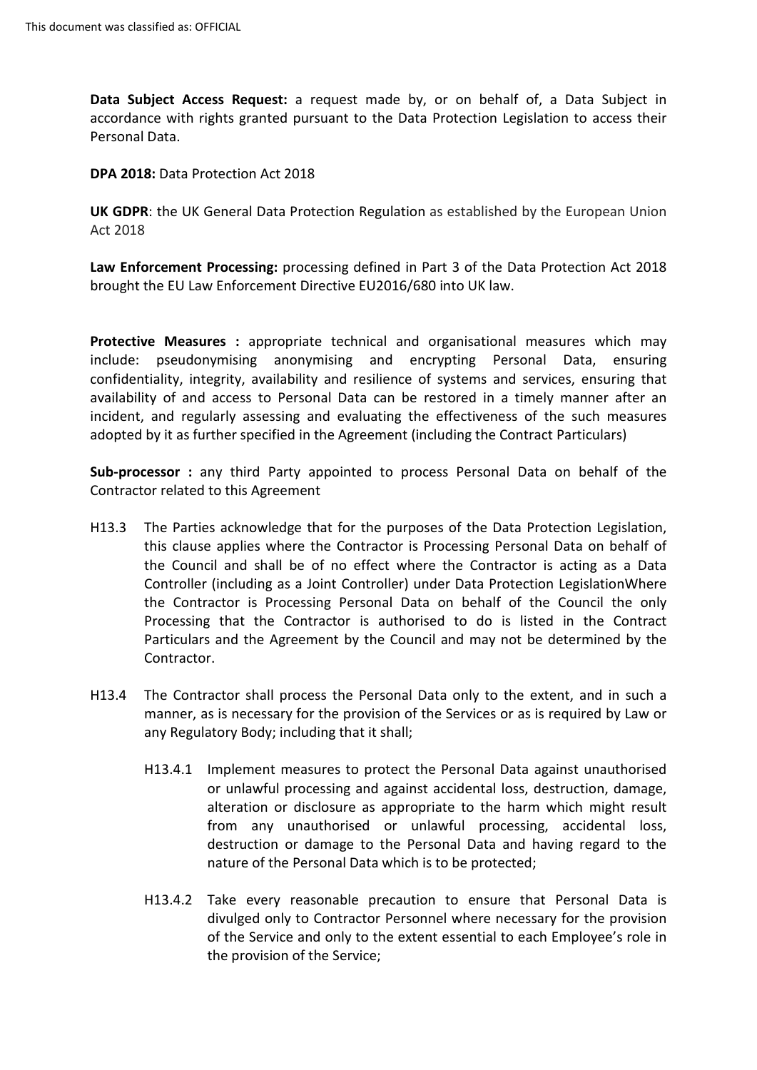Personal Data. **Data Subject Access Request:** a request made by, or on behalf of, a Data Subject in accordance with rights granted pursuant to the Data Protection Legislation to access their

**DPA 2018:** Data Protection Act 2018

 Act 2018 **UK GDPR**: the UK General Data Protection Regulation as established by the European Union

**Law Enforcement Processing:** processing defined in Part 3 of the Data Protection Act 2018 brought the EU Law Enforcement Directive EU2016/680 into UK law.

 include: pseudonymising anonymising and encrypting Personal Data, ensuring confidentiality, integrity, availability and resilience of systems and services, ensuring that availability of and access to Personal Data can be restored in a timely manner after an **Protective Measures :** appropriate technical and organisational measures which may incident, and regularly assessing and evaluating the effectiveness of the such measures adopted by it as further specified in the Agreement (including the Contract Particulars)

**Sub-processor :** any third Party appointed to process Personal Data on behalf of the Contractor related to this Agreement

- H13.3 The Parties acknowledge that for the purposes of the Data Protection Legislation, this clause applies where the Contractor is Processing Personal Data on behalf of the Council and shall be of no effect where the Contractor is acting as a Data Controller (including as a Joint Controller) under Data Protection LegislationWhere the Contractor is Processing Personal Data on behalf of the Council the only Processing that the Contractor is authorised to do is listed in the Contract Particulars and the Agreement by the Council and may not be determined by the Contractor.
- H13.4 The Contractor shall process the Personal Data only to the extent, and in such a manner, as is necessary for the provision of the Services or as is required by Law or any Regulatory Body; including that it shall;
	- H13.4.1 Implement measures to protect the Personal Data against unauthorised destruction or damage to the Personal Data and having regard to the nature of the Personal Data which is to be protected; or unlawful processing and against accidental loss, destruction, damage, alteration or disclosure as appropriate to the harm which might result from any unauthorised or unlawful processing, accidental loss,
	- H13.4.2 Take every reasonable precaution to ensure that Personal Data is divulged only to Contractor Personnel where necessary for the provision of the Service and only to the extent essential to each Employee's role in the provision of the Service;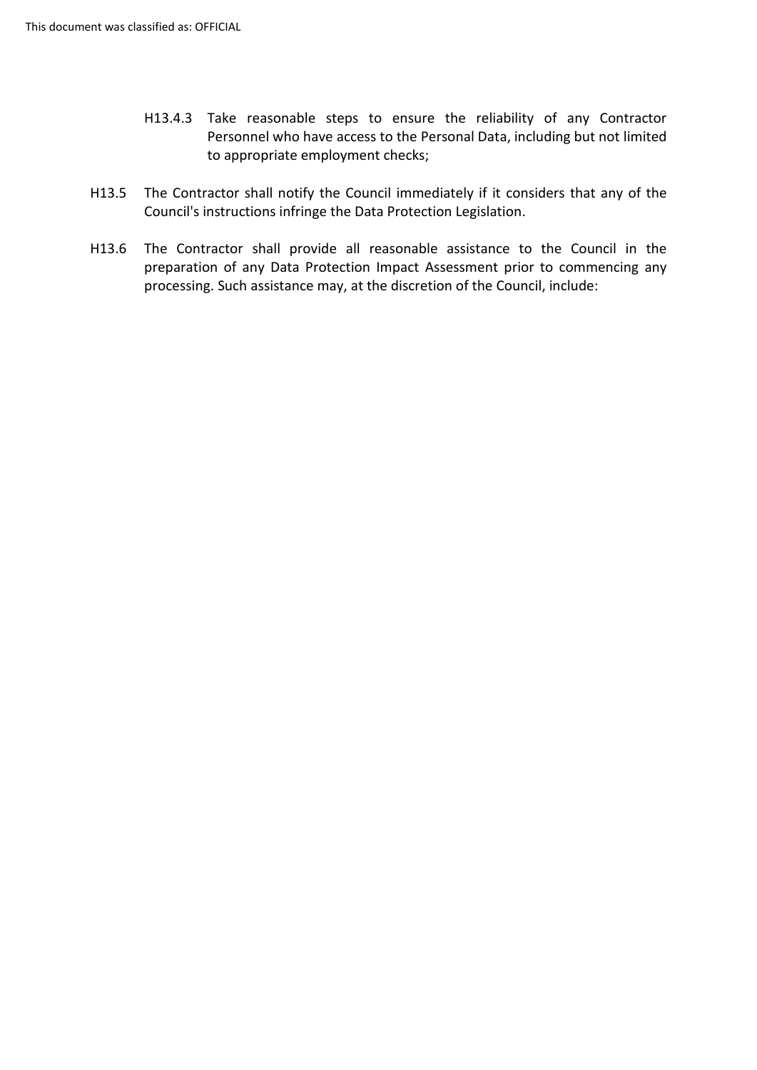- H13.4.3 Take reasonable steps to ensure the reliability of any Contractor Personnel who have access to the Personal Data, including but not limited to appropriate employment checks;
- H13.5 The Contractor shall notify the Council immediately if it considers that any of the Council's instructions infringe the Data Protection Legislation.
- H13.6 The Contractor shall provide all reasonable assistance to the Council in the preparation of any Data Protection Impact Assessment prior to commencing any processing. Such assistance may, at the discretion of the Council, include: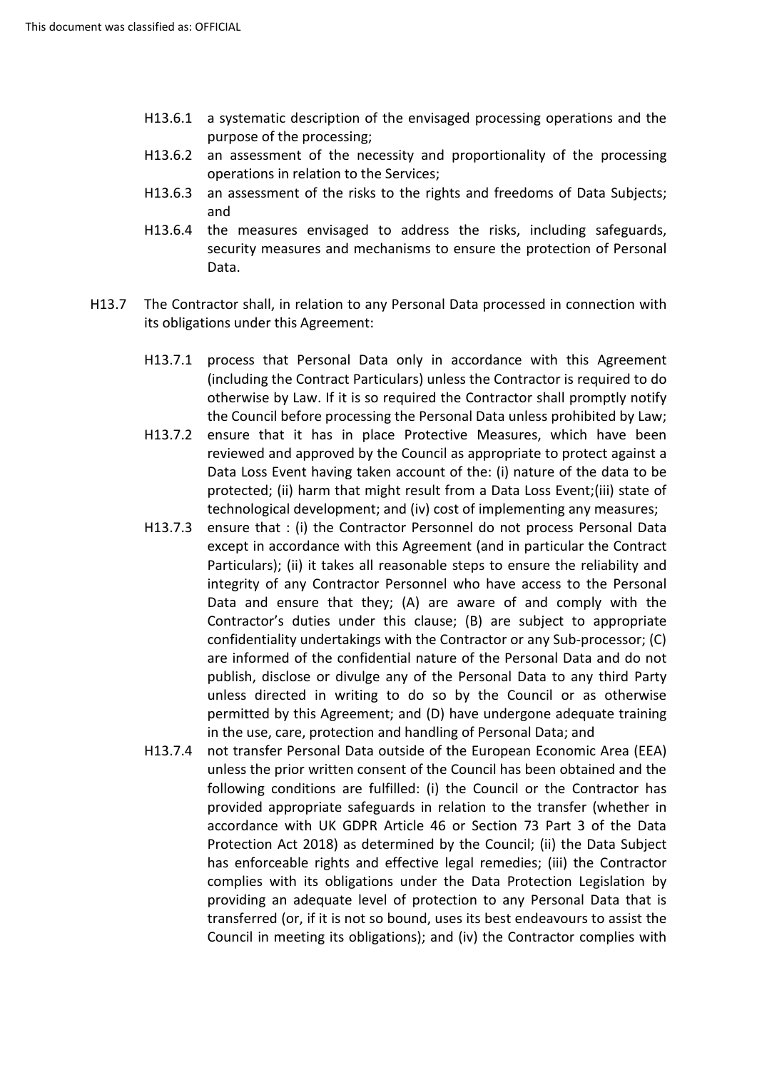- H13.6.1 a systematic description of the envisaged processing operations and the purpose of the processing;
- H13.6.2 an assessment of the necessity and proportionality of the processing operations in relation to the Services;
- H13.6.3 an assessment of the risks to the rights and freedoms of Data Subjects; and
- H13.6.4 the measures envisaged to address the risks, including safeguards, security measures and mechanisms to ensure the protection of Personal Data.
- H13.7 The Contractor shall, in relation to any Personal Data processed in connection with its obligations under this Agreement:
	- the Council before processing the Personal Data unless prohibited by Law; H13.7.1 process that Personal Data only in accordance with this Agreement (including the Contract Particulars) unless the Contractor is required to do otherwise by Law. If it is so required the Contractor shall promptly notify
	- H13.7.2 ensure that it has in place Protective Measures, which have been reviewed and approved by the Council as appropriate to protect against a Data Loss Event having taken account of the: (i) nature of the data to be technological development; and (iv) cost of implementing any measures; protected; (ii) harm that might result from a Data Loss Event;(iii) state of
	- H13.7.3 ensure that : (i) the Contractor Personnel do not process Personal Data except in accordance with this Agreement (and in particular the Contract Particulars); (ii) it takes all reasonable steps to ensure the reliability and integrity of any Contractor Personnel who have access to the Personal Contractor's duties under this clause; (B) are subject to appropriate unless directed in writing to do so by the Council or as otherwise in the use, care, protection and handling of Personal Data; and Data and ensure that they; (A) are aware of and comply with the confidentiality undertakings with the Contractor or any Sub-processor; (C) are informed of the confidential nature of the Personal Data and do not publish, disclose or divulge any of the Personal Data to any third Party permitted by this Agreement; and (D) have undergone adequate training
	- H13.7.4 not transfer Personal Data outside of the European Economic Area (EEA) unless the prior written consent of the Council has been obtained and the provided appropriate safeguards in relation to the transfer (whether in accordance with UK GDPR Article 46 or Section 73 Part 3 of the Data Protection Act 2018) as determined by the Council; (ii) the Data Subject complies with its obligations under the Data Protection Legislation by transferred (or, if it is not so bound, uses its best endeavours to assist the following conditions are fulfilled: (i) the Council or the Contractor has has enforceable rights and effective legal remedies; (iii) the Contractor providing an adequate level of protection to any Personal Data that is Council in meeting its obligations); and (iv) the Contractor complies with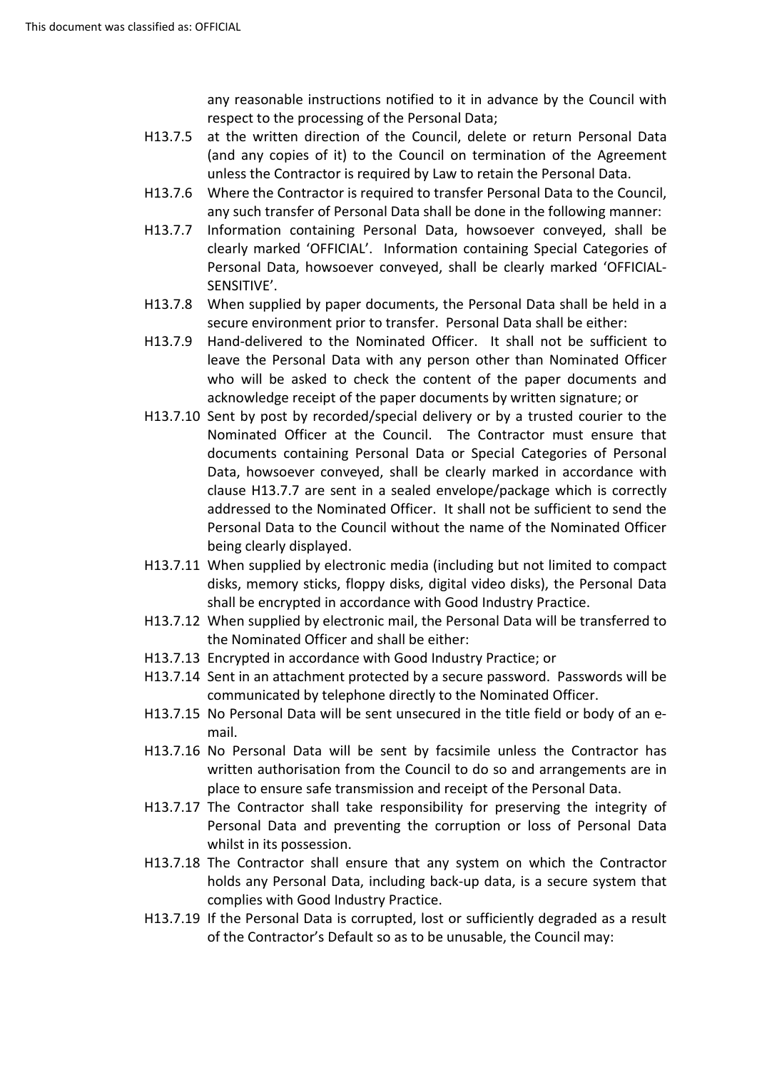any reasonable instructions notified to it in advance by the Council with respect to the processing of the Personal Data;

- (and any copies of it) to the Council on termination of the Agreement unless the Contractor is required by Law to retain the Personal Data. H13.7.5 at the written direction of the Council, delete or return Personal Data
- H13.7.6 Where the Contractor is required to transfer Personal Data to the Council, any such transfer of Personal Data shall be done in the following manner:
- clearly marked 'OFFICIAL'. Information containing Special Categories of H13.7.7 Information containing Personal Data, howsoever conveyed, shall be Personal Data, howsoever conveyed, shall be clearly marked 'OFFICIAL-SENSITIVE'.
- H13.7.8 When supplied by paper documents, the Personal Data shall be held in a secure environment prior to transfer. Personal Data shall be either:
- H13.7.9 Hand-delivered to the Nominated Officer. It shall not be sufficient to who will be asked to check the content of the paper documents and acknowledge receipt of the paper documents by written signature; or leave the Personal Data with any person other than Nominated Officer
- [H13.7.10](https://H13.7.10) Sent by post by recorded/special delivery or by a trusted courier to the Nominated Officer at the Council. The Contractor must ensure that Data, howsoever conveyed, shall be clearly marked in accordance with clause H13.7.7 are sent in a sealed envelope/package which is correctly Personal Data to the Council without the name of the Nominated Officer being clearly displayed. documents containing Personal Data or Special Categories of Personal addressed to the Nominated Officer. It shall not be sufficient to send the
- [H13.7.11](https://H13.7.11) When supplied by electronic media (including but not limited to compact disks, memory sticks, floppy disks, digital video disks), the Personal Data shall be encrypted in accordance with Good Industry Practice.
- [H13.7.12](https://H13.7.12) When supplied by electronic mail, the Personal Data will be transferred to the Nominated Officer and shall be either:
- [H13.7.13](https://H13.7.13) Encrypted in accordance with Good Industry Practice; or
- [H13.7.14](https://H13.7.14) Sent in an attachment protected by a secure password. Passwords will be communicated by telephone directly to the Nominated Officer.
- [H13.7.15](https://H13.7.15) No Personal Data will be sent unsecured in the title field or body of an email.
- [H13.7.16](https://H13.7.16) No Personal Data will be sent by facsimile unless the Contractor has place to ensure safe transmission and receipt of the Personal Data. written authorisation from the Council to do so and arrangements are in
- [H13.7.17](https://H13.7.17) The Contractor shall take responsibility for preserving the integrity of Personal Data and preventing the corruption or loss of Personal Data whilst in its possession.
- [H13.7.18](https://H13.7.18) The Contractor shall ensure that any system on which the Contractor holds any Personal Data, including back-up data, is a secure system that complies with Good Industry Practice.
- of the Contractor's Default so as to be unusable, the Council may: [H13.7.19](https://H13.7.19) If the Personal Data is corrupted, lost or sufficiently degraded as a result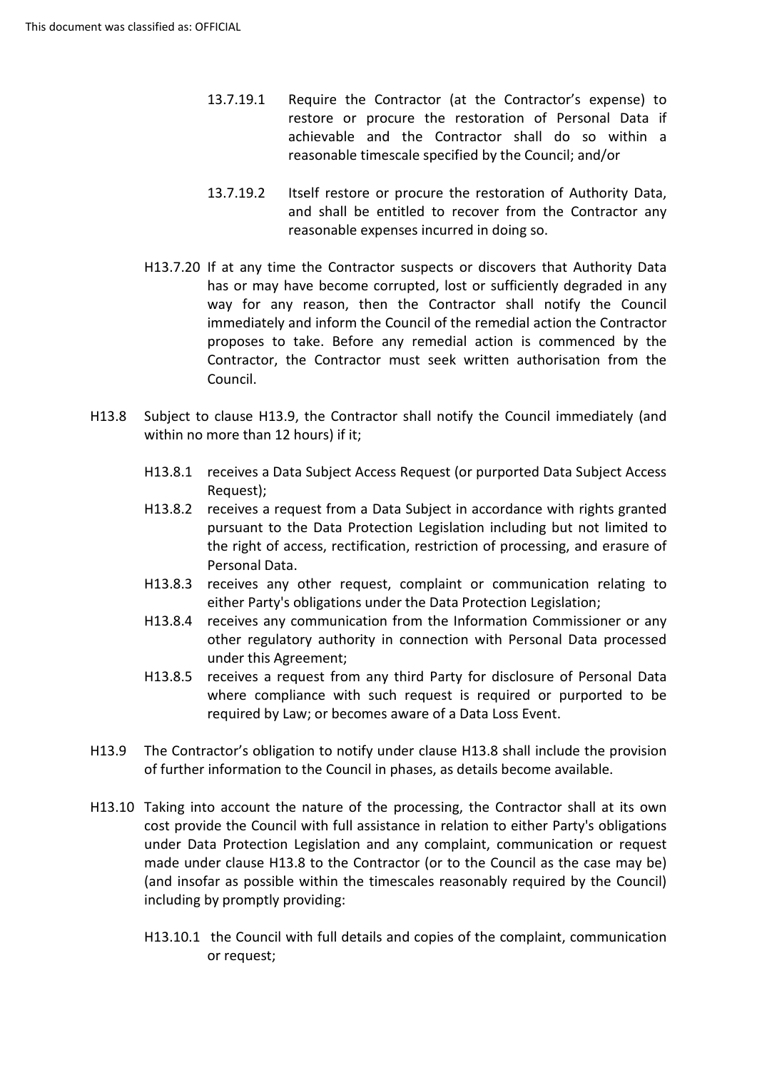- 13.7.19.1 Require the Contractor (at the Contractor's expense) to restore or procure the restoration of Personal Data if achievable and the Contractor shall do so within a reasonable timescale specified by the Council; and/or
- and shall be entitled to recover from the Contractor any 13.7.19.2 Itself restore or procure the restoration of Authority Data, reasonable expenses incurred in doing so.
- has or may have become corrupted, lost or sufficiently degraded in any [H13.7.20](https://H13.7.20) If at any time the Contractor suspects or discovers that Authority Data way for any reason, then the Contractor shall notify the Council immediately and inform the Council of the remedial action the Contractor proposes to take. Before any remedial action is commenced by the Contractor, the Contractor must seek written authorisation from the Council.
- H13.8 Subject to clause H13.9, the Contractor shall notify the Council immediately (and within no more than 12 hours) if it;
	- H13.8.1 receives a Data Subject Access Request (or purported Data Subject Access Request);
	- the right of access, rectification, restriction of processing, and erasure of H13.8.2 receives a request from a Data Subject in accordance with rights granted pursuant to the Data Protection Legislation including but not limited to Personal Data.
	- either Party's obligations under the Data Protection Legislation; H13.8.3 receives any other request, complaint or communication relating to
	- H13.8.4 receives any communication from the Information Commissioner or any other regulatory authority in connection with Personal Data processed under this Agreement;
	- required by Law; or becomes aware of a Data Loss Event. H13.8.5 receives a request from any third Party for disclosure of Personal Data where compliance with such request is required or purported to be
- of further information to the Council in phases, as details become available. H13.9 The Contractor's obligation to notify under clause H13.8 shall include the provision
- cost provide the Council with full assistance in relation to either Party's obligations H13.10 Taking into account the nature of the processing, the Contractor shall at its own under Data Protection Legislation and any complaint, communication or request made under clause H13.8 to the Contractor (or to the Council as the case may be) (and insofar as possible within the timescales reasonably required by the Council) including by promptly providing:
	- H13.10.1 the Council with full details and copies of the complaint, communication or request;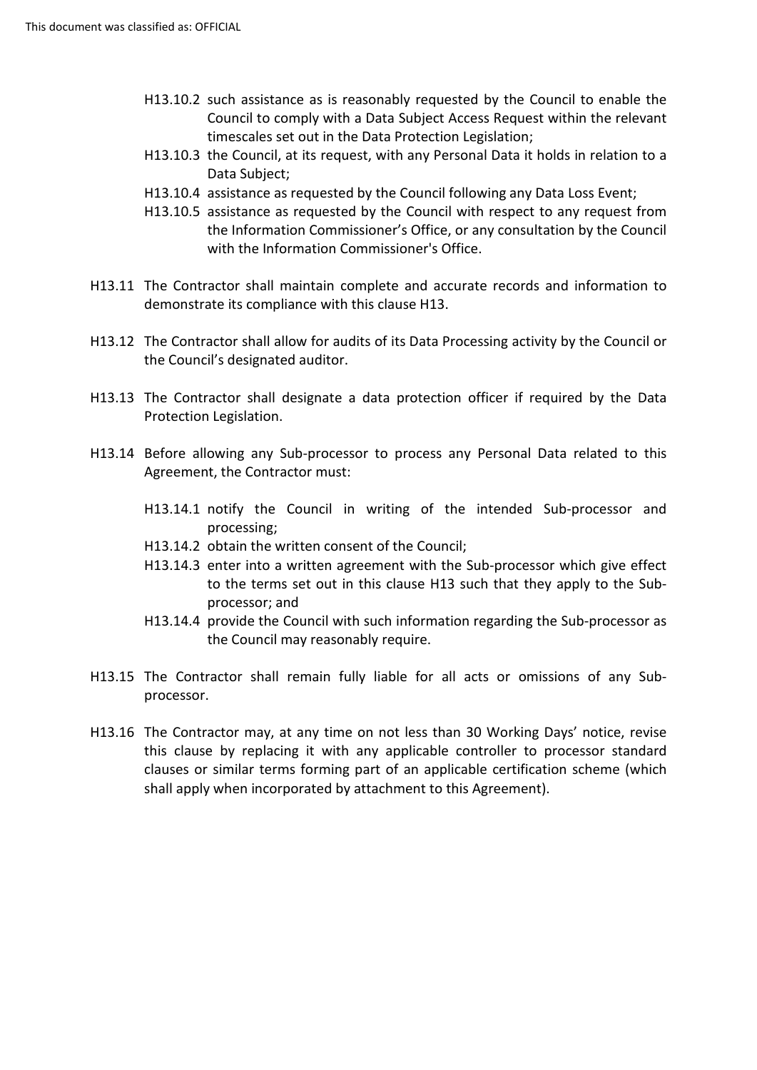- H13.10.2 such assistance as is reasonably requested by the Council to enable the Council to comply with a Data Subject Access Request within the relevant timescales set out in the Data Protection Legislation;
- timescales set out in the Data Protection Legislation; H13.10.3 the Council, at its request, with any Personal Data it holds in relation to a Data Subject;
- H13.10.4 assistance as requested by the Council following any Data Loss Event;
- H13.10.5 assistance as requested by the Council with respect to any request from the Information Commissioner's Office, or any consultation by the Council with the Information Commissioner's Office.
- H13.11 The Contractor shall maintain complete and accurate records and information to demonstrate its compliance with this clause H13.
- H13.12 The Contractor shall allow for audits of its Data Processing activity by the Council or the Council's designated auditor.
- H13.13 The Contractor shall designate a data protection officer if required by the Data Protection Legislation.
- H13.14 Before allowing any Sub-processor to process any Personal Data related to this Agreement, the Contractor must:
	- H13.14.1 notify the Council in writing of the intended Sub-processor and processing;
	- H13.14.2 obtain the written consent of the Council;
	- H13.14.3 enter into a written agreement with the Sub-processor which give effect to the terms set out in this clause H13 such that they apply to the Subprocessor; and
	- H13.14.4 provide the Council with such information regarding the Sub-processor as the Council may reasonably require.
- H13.15 The Contractor shall remain fully liable for all acts or omissions of any Subprocessor.
- H13.16 The Contractor may, at any time on not less than 30 Working Days' notice, revise this clause by replacing it with any applicable controller to processor standard clauses or similar terms forming part of an applicable certification scheme (which shall apply when incorporated by attachment to this Agreement).